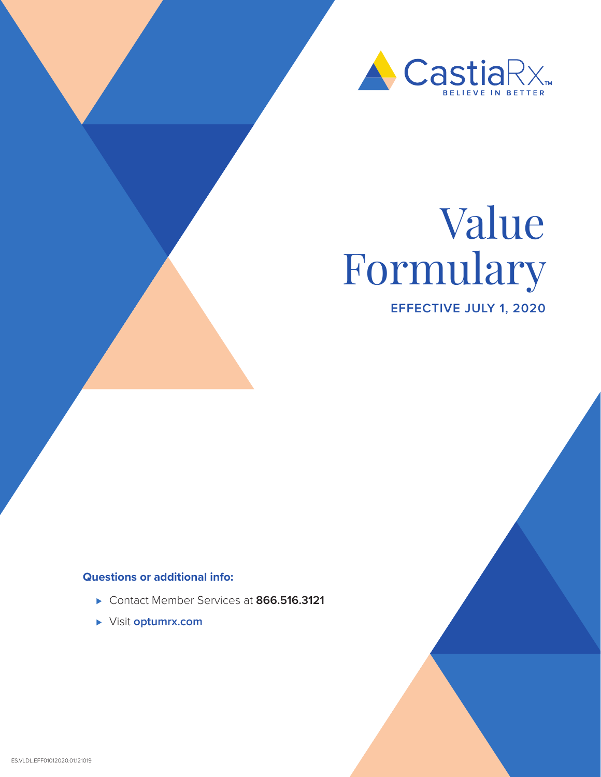

# Value Formulary

**EFFECTIVE JULY 1, 2020**

# **Questions or additional info:**

- ⊲ Contact Member Services at **866.516.3121**
- ⊲ Visit **optumrx.com**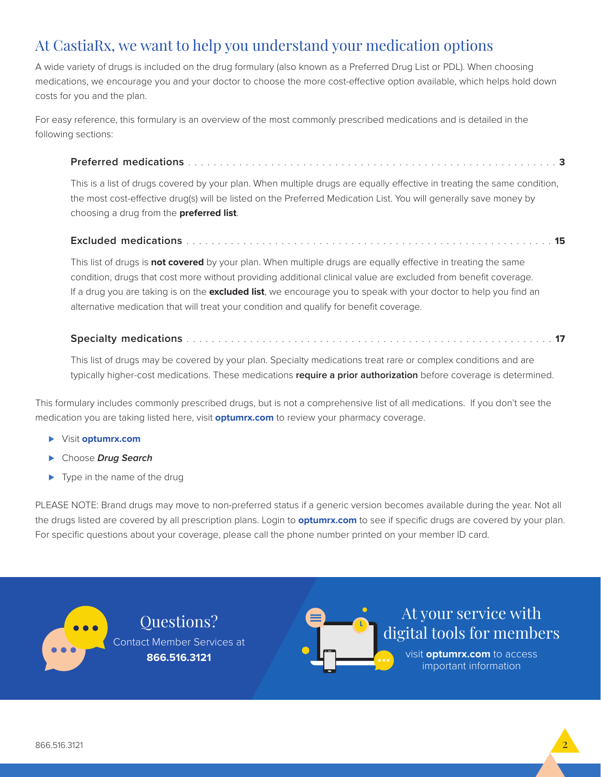# At CastiaRx, we want to help you understand your medication options

A wide variety of drugs is included on the drug formulary (also known as a Preferred Drug List or PDL). When choosing medications, we encourage you and your doctor to choose the more cost-effective option available, which helps hold down costs for you and the plan.

For easy reference, this formulary is an overview of the most commonly prescribed medications and is detailed in the following sections:

# **Preferred medications** . . . . . . . . . . . . . . . . . . . . . . . . . . . . . . . . . . . . . . . . . . . . . . . . . . . . . . . . . . **3**

This is a list of drugs covered by your plan. When multiple drugs are equally effective in treating the same condition, the most cost-effective drug(s) will be listed on the Preferred Medication List. You will generally save money by choosing a drug from the **preferred list**.

# **Excluded medications** . . . . . . . . . . . . . . . . . . . . . . . . . . . . . . . . . . . . . . . . . . . . . . . . . . . . . . . . . . **15**

This list of drugs is **not covered** by your plan. When multiple drugs are equally effective in treating the same condition, drugs that cost more without providing additional clinical value are excluded from benefit coverage. If a drug you are taking is on the **excluded list**, we encourage you to speak with your doctor to help you find an alternative medication that will treat your condition and qualify for benefit coverage.

# **Specialty medications** . . . . . . . . . . . . . . . . . . . . . . . . . . . . . . . . . . . . . . . . . . . . . . . . . . . . . . . . . . **17**

This list of drugs may be covered by your plan. Specialty medications treat rare or complex conditions and are typically higher-cost medications. These medications **require a prior authorization** before coverage is determined.

This formulary includes commonly prescribed drugs, but is not a comprehensive list of all medications. If you don't see the medication you are taking listed here, visit **optumrx.com** to review your pharmacy coverage.

⊲ Visit **optumrx.com**

 $\bullet$   $\bullet$ 

- ⊲ Choose *Drug Search*
- ► Type in the name of the drug

PLEASE NOTE: Brand drugs may move to non-preferred status if a generic version becomes available during the year. Not all the drugs listed are covered by all prescription plans. Login to **optumrx.com** to see if specific drugs are covered by your plan. For specific questions about your coverage, please call the phone number printed on your member ID card.

> Questions? Contact Member Services at **866.516.3121**



At your service with digital tools for members

> visit **optumrx.com** to access important information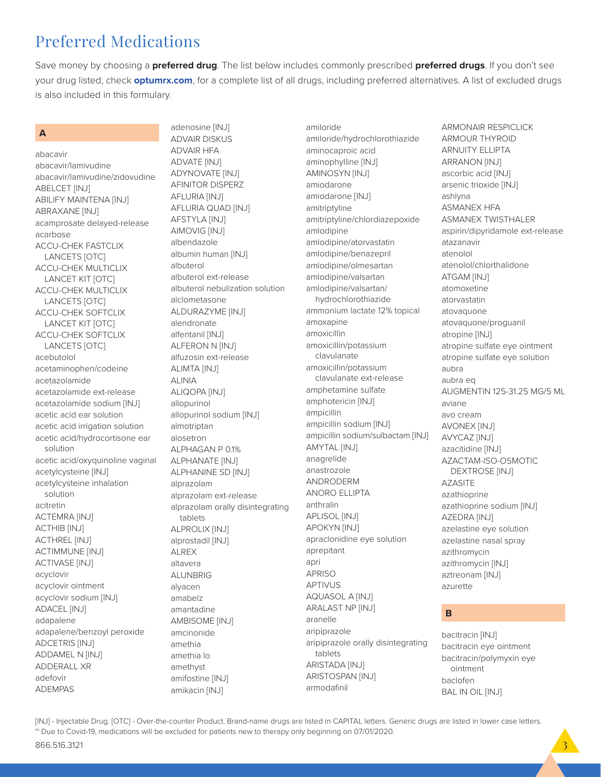# Preferred Medications

Save money by choosing a **preferred drug**. The list below includes commonly prescribed **preferred drugs**. If you don't see your drug listed, check **optumrx.com**, for a complete list of all drugs, including preferred alternatives. A list of excluded drugs is also included in this formulary.

# **A**

abacavir abacavir/lamivudine abacavir/lamivudine/zidovudine ABELCET [INJ] ABILIFY MAINTENA [INJ] ABRAXANE [INJ] acamprosate delayed-release acarbose ACCU-CHEK FASTCLIX LANCETS [OTC] ACCU-CHEK MULTICLIX LANCET KIT [OTC] ACCU-CHEK MULTICLIX LANCETS [OTC] ACCU-CHEK SOFTCLIX LANCET KIT [OTC] ACCU-CHEK SOFTCLIX LANCETS [OTC] acebutolol acetaminophen/codeine acetazolamide acetazolamide ext-release acetazolamide sodium [INJ] acetic acid ear solution acetic acid irrigation solution acetic acid/hydrocortisone ear solution acetic acid/oxyquinoline vaginal acetylcysteine [INJ] acetylcysteine inhalation solution acitretin ACTEMRA [INJ] ACTHIB [INJ] ACTHREL [INJ] ACTIMMUNE [INJ] ACTIVASE [INJ] acyclovir acyclovir ointment acyclovir sodium [INJ] ADACEL [INJ] adapalene adapalene/benzoyl peroxide ADCETRIS [INJ] ADDAMEL N [INJ] ADDERALL XR adefovir ADEMPAS

adenosine [INJ] ADVAIR DISKUS ADVAIR HFA ADVATE [INJ] ADYNOVATE [INJ] AFINITOR DISPERZ AFLURIA [INJ] AFLURIA QUAD [INJ] AFSTYLA [INJ] AIMOVIG [INJ] albendazole albumin human [INJ] albuterol albuterol ext-release albuterol nebulization solution alclometasone ALDURAZYME [INJ] alendronate alfentanil [INJ] ALFERON N [INJ] alfuzosin ext-release ALIMTA [INJ] ALINIA ALIQOPA [INJ] allopurinol allopurinol sodium [INJ] almotriptan alosetron ALPHAGAN P 0.1% ALPHANATE [INJ] ALPHANINE SD [INJ] alprazolam alprazolam ext-release alprazolam orally disintegrating tablets ALPROLIX [INJ] alprostadil [INJ] ALREX altavera ALUNBRIG alyacen amabelz amantadine AMBISOME [INJ] amcinonide amethia amethia lo amethyst amifostine [INJ] amikacin [INJ]

amiloride amiloride/hydrochlorothiazide aminocaproic acid aminophylline [INJ] AMINOSYN [INJ] amiodarone amiodarone [INJ] amitriptyline amitriptyline/chlordiazepoxide amlodipine amlodipine/atorvastatin amlodipine/benazepril amlodipine/olmesartan amlodipine/valsartan amlodipine/valsartan/ hydrochlorothiazide ammonium lactate 12% topical amoxapine amoxicillin amoxicillin/potassium clavulanate amoxicillin/potassium clavulanate ext-release amphetamine sulfate amphotericin [INJ] ampicillin ampicillin sodium [INJ] ampicillin sodium/sulbactam [INJ] AMYTAL [INJ] anagrelide anastrozole ANDRODERM ANORO ELLIPTA anthralin APLISOL [INJ] APOKYN [INJ] apraclonidine eye solution aprepitant apri APRISO APTIVUS AQUASOL A [INJ] ARALAST NP [INJ] aranelle aripiprazole aripiprazole orally disintegrating tablets ARISTADA [INJ] ARISTOSPAN [INJ] armodafinil

ARMONAIR RESPICLICK ARMOUR THYROID ARNUITY ELLIPTA ARRANON [INJ] ascorbic acid [INJ] arsenic trioxide [INJ] ashlyna ASMANEX HFA ASMANEX TWISTHALER aspirin/dipyridamole ext-release atazanavir atenolol atenolol/chlorthalidone ATGAM [INJ] atomoxetine atorvastatin atovaquone atovaquone/proguanil atropine [INJ] atropine sulfate eye ointment atropine sulfate eye solution aubra aubra eq AUGMENTIN 125-31.25 MG/5 ML aviane avo cream AVONEX [INJ] AVYCAZ [INJ] azacitidine [INJ] AZACTAM-ISO-OSMOTIC DEXTROSE [INJ] AZASITE azathioprine azathioprine sodium [INJ] AZEDRA [INJ] azelastine eye solution azelastine nasal spray azithromycin azithromycin [INJ] aztreonam [INJ] azurette

# **B**

bacitracin [INJ] bacitracin eye ointment bacitracin/polymyxin eye ointment baclofen BAL IN OIL [INJ]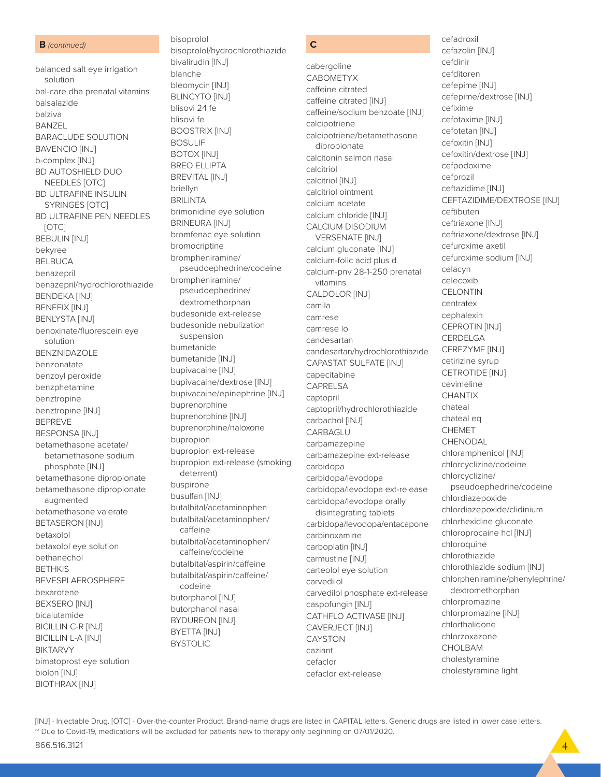### **B** *(continued)*

balanced salt eye irrigation solution bal-care dha prenatal vitamins balsalazide balziva BANZEL BARACLUDE SOLUTION BAVENCIO [INJ] b-complex [INJ] BD AUTOSHIELD DUO NEEDLES [OTC] BD ULTRAFINE INSULIN SYRINGES [OTC] BD ULTRAFINE PEN NEEDLES [OTC] BEBULIN [INJ] bekyree BELBUCA benazepril benazepril/hydrochlorothiazide BENDEKA [INJ] BENEFIX [INJ] BENLYSTA [INJ] benoxinate/fluorescein eye solution BENZNIDAZOLE benzonatate benzoyl peroxide benzphetamine benztropine benztropine [INJ] BEPREVE BESPONSA [INJ] betamethasone acetate/ betamethasone sodium phosphate [INJ] betamethasone dipropionate betamethasone dipropionate augmented betamethasone valerate BETASERON [INJ] betaxolol betaxolol eye solution bethanechol BETHKIS BEVESPI AEROSPHERE bexarotene BEXSERO [INJ] bicalutamide BICILLIN C-R [INJ] BICILLIN L-A [INJ] BIKTARVY bimatoprost eye solution biolon [INJ] BIOTHRAX [INJ]

bisoprolol bisoprolol/hydrochlorothiazide bivalirudin [INJ] blanche bleomycin [INJ] BLINCYTO [INJ] blisovi 24 fe blisovi fe BOOSTRIX [INJ] BOSULIF BOTOX [INJ] BREO ELLIPTA BREVITAL [INJ] briellyn **BRILINTA** brimonidine eye solution BRINEURA [INJ] bromfenac eye solution bromocriptine brompheniramine/ pseudoephedrine/codeine brompheniramine/ pseudoephedrine/ dextromethorphan budesonide ext-release budesonide nebulization suspension bumetanide bumetanide [INJ] bupivacaine [INJ] bupivacaine/dextrose [INJ] bupivacaine/epinephrine [INJ] buprenorphine buprenorphine [INJ] buprenorphine/naloxone bupropion bupropion ext-release bupropion ext-release (smoking deterrent) buspirone busulfan [INJ] butalbital/acetaminophen butalbital/acetaminophen/ caffeine butalbital/acetaminophen/ caffeine/codeine butalbital/aspirin/caffeine butalbital/aspirin/caffeine/ codeine butorphanol [INJ] butorphanol nasal BYDUREON [INJ] BYETTA [INJ] BYSTOLIC

# **C**

cabergoline CABOMETYX caffeine citrated caffeine citrated [INJ] caffeine/sodium benzoate [INJ] calcipotriene calcipotriene/betamethasone dipropionate calcitonin salmon nasal calcitriol calcitriol [INJ] calcitriol ointment calcium acetate calcium chloride [INJ] CALCIUM DISODIUM VERSENATE [INJ] calcium gluconate [INJ] calcium-folic acid plus d calcium-pnv 28-1-250 prenatal vitamins CALDOLOR [INJ] camila camrese camrese lo candesartan candesartan/hydrochlorothiazide CAPASTAT SULFATE [INJ] capecitabine CAPRELSA captopril captopril/hydrochlorothiazide carbachol [INJ] CARBAGLU carbamazepine carbamazepine ext-release carbidopa carbidopa/levodopa carbidopa/levodopa ext-release carbidopa/levodopa orally disintegrating tablets carbidopa/levodopa/entacapone carbinoxamine carboplatin [INJ] carmustine [INJ] carteolol eye solution carvedilol carvedilol phosphate ext-release caspofungin [INJ] CATHFLO ACTIVASE [INJ] CAVERJECT [INJ] CAYSTON caziant cefaclor cefaclor ext-release

cefadroxil cefazolin [INJ] cefdinir cefditoren cefepime [INJ] cefepime/dextrose [INJ] cefixime cefotaxime [INJ] cefotetan [INJ] cefoxitin [INJ] cefoxitin/dextrose [INJ] cefpodoxime cefprozil ceftazidime [INJ] CEFTAZIDIME/DEXTROSE [INJ] ceftibuten ceftriaxone [INJ] ceftriaxone/dextrose [INJ] cefuroxime axetil cefuroxime sodium [INJ] celacyn celecoxib **CELONTIN** centratex cephalexin CEPROTIN [INJ] **CERDELGA** CEREZYME [INJ] cetirizine syrup CETROTIDE [INJ] cevimeline **CHANTIX** chateal chateal eq CHEMET CHENODAL chloramphenicol [INJ] chlorcyclizine/codeine chlorcyclizine/ pseudoephedrine/codeine chlordiazepoxide chlordiazepoxide/clidinium chlorhexidine gluconate chloroprocaine hcl [INJ] chloroquine chlorothiazide chlorothiazide sodium [INJ] chlorpheniramine/phenylephrine/ dextromethorphan chlorpromazine chlorpromazine [INJ] chlorthalidone chlorzoxazone CHOLBAM cholestyramine

cholestyramine light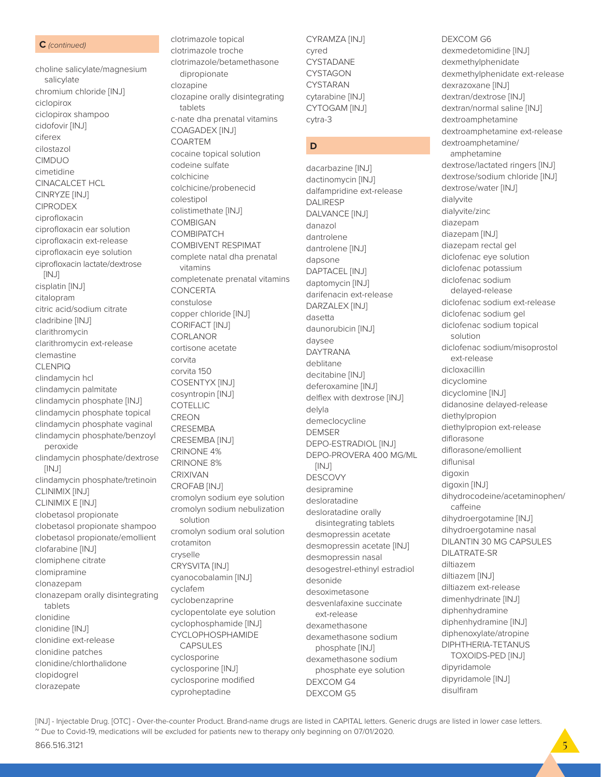### **C** *(continued)*

choline salicylate/magnesium salicylate chromium chloride [INJ] ciclopirox ciclopirox shampoo cidofovir [INJ] ciferex cilostazol CIMDUO cimetidine CINACALCET HCL CINRYZE [INJ] CIPRODEX ciprofloxacin ciprofloxacin ear solution ciprofloxacin ext-release ciprofloxacin eye solution ciprofloxacin lactate/dextrose [INJ] cisplatin [INJ] citalopram citric acid/sodium citrate cladribine [INJ] clarithromycin clarithromycin ext-release clemastine CLENPIQ clindamycin hcl clindamycin palmitate clindamycin phosphate [INJ] clindamycin phosphate topical clindamycin phosphate vaginal clindamycin phosphate/benzoyl peroxide clindamycin phosphate/dextrose [INJ] clindamycin phosphate/tretinoin CLINIMIX [INJ] CLINIMIX E [INJ] clobetasol propionate clobetasol propionate shampoo clobetasol propionate/emollient clofarabine [INJ] clomiphene citrate clomipramine clonazepam clonazepam orally disintegrating tablets clonidine clonidine [INJ] clonidine ext-release clonidine patches clonidine/chlorthalidone clopidogrel clorazepate

clotrimazole topical clotrimazole troche clotrimazole/betamethasone dipropionate clozapine clozapine orally disintegrating tablets c-nate dha prenatal vitamins COAGADEX [INJ] COARTEM cocaine topical solution codeine sulfate colchicine colchicine/probenecid colestipol colistimethate [INJ] COMBIGAN **COMBIPATCH** COMBIVENT RESPIMAT complete natal dha prenatal vitamins completenate prenatal vitamins **CONCERTA** constulose copper chloride [INJ] CORIFACT [INJ] CORLANOR cortisone acetate corvita corvita 150 COSENTYX [INJ] cosyntropin [INJ] COTELLIC **CREON** CRESEMBA CRESEMBA [INJ] CRINONE 4% CRINONE 8% CRIXIVAN CROFAB [INJ] cromolyn sodium eye solution cromolyn sodium nebulization solution cromolyn sodium oral solution crotamiton cryselle CRYSVITA [INJ] cyanocobalamin [INJ] cyclafem cyclobenzaprine cyclopentolate eye solution cyclophosphamide [INJ] CYCLOPHOSPHAMIDE CAPSULES cyclosporine cyclosporine [INJ] cyclosporine modified cyproheptadine

CYRAMZA [INJ] cyred **CYSTADANE CYSTAGON** CYSTARAN cytarabine [INJ] CYTOGAM [INJ] cytra-3

# **D**

dacarbazine [INJ] dactinomycin [INJ] dalfampridine ext-release DALIRESP DALVANCE [INJ] danazol dantrolene dantrolene [INJ] dapsone DAPTACEL [INJ] daptomycin [INJ] darifenacin ext-release DARZALEX [INJ] dasetta daunorubicin [INJ] daysee DAYTRANA deblitane decitabine [INJ] deferoxamine [INJ] delflex with dextrose [INJ] delyla demeclocycline DEMSER DEPO-ESTRADIOL [INJ] DEPO-PROVERA 400 MG/ML [INJ] **DESCOVY** desipramine desloratadine desloratadine orally disintegrating tablets desmopressin acetate desmopressin acetate [INJ] desmopressin nasal desogestrel-ethinyl estradiol desonide desoximetasone desvenlafaxine succinate ext-release dexamethasone dexamethasone sodium phosphate [INJ] dexamethasone sodium phosphate eye solution DEXCOM G4 DEXCOM G5

### DEXCOM G6

dexmedetomidine [INJ] dexmethylphenidate dexmethylphenidate ext-release dexrazoxane [INJ] dextran/dextrose [INJ] dextran/normal saline [INJ] dextroamphetamine dextroamphetamine ext-release dextroamphetamine/ amphetamine dextrose/lactated ringers [INJ] dextrose/sodium chloride [INJ] dextrose/water [INJ] dialyvite dialyvite/zinc diazepam diazepam [INJ] diazepam rectal gel diclofenac eye solution diclofenac potassium diclofenac sodium delayed-release diclofenac sodium ext-release diclofenac sodium gel diclofenac sodium topical solution diclofenac sodium/misoprostol ext-release dicloxacillin dicyclomine dicyclomine [INJ] didanosine delayed-release diethylpropion diethylpropion ext-release diflorasone diflorasone/emollient diflunisal digoxin digoxin [INJ] dihydrocodeine/acetaminophen/ caffeine dihydroergotamine [INJ] dihydroergotamine nasal DILANTIN 30 MG CAPSULES DILATRATE-SR diltiazem diltiazem [INJ] diltiazem ext-release dimenhydrinate [INJ] diphenhydramine diphenhydramine [INJ] diphenoxylate/atropine DIPHTHERIA-TETANUS TOXOIDS-PED [INJ] dipyridamole dipyridamole [INJ] disulfiram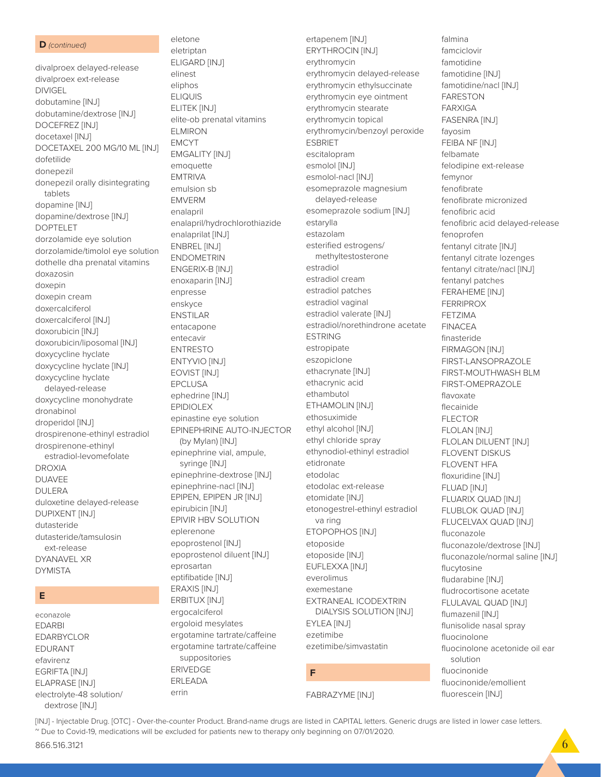### D (continued)

divalproex delayed-release divalproex ext-release **DIVIGEL** dobutamine [INJ] dobutamine/dextrose [INJ] DOCEFREZ [INJ] docetaxel [INJ] DOCETAXEL 200 MG/10 ML [INJ] dofetilide donepezil donepezil orally disintegrating tablets dopamine [INJ] dopamine/dextrose [INJ] **DOPTELET** dorzolamide eye solution dorzolamide/timolol eye solution dothelle dha prenatal vitamins doxazosin doxepin doxepin cream doxercalciferol doxercalciferol [INJ] doxorubicin [INJ] doxorubicin/liposomal [INJ] doxycycline hyclate doxycycline hyclate [INJ] doxycycline hyclate delayed-release doxycycline monohydrate dronabinol droperidol [INJ] drospirenone-ethinyl estradiol drospirenone-ethinyl estradiol-levomefolate **DROXIA DUAVEE DULERA** duloxetine delayed-release **DUPIXENT [INJ]** dutasteride dutasteride/tamsulosin ext-release **DYANAVEL XR DYMISTA** 

# E

econazole **EDARBI EDARBYCLOR** EDURANT efavirenz EGRIFTA [INJ] ELAPRASE [INJ] electrolyte-48 solution/ dextrose [INJ]

eletone eletriptan **ELIGARD [INJ]** elinest eliphos **ELIQUIS** ELITEK [INJ] elite-ob prenatal vitamins FI MIRON **EMCYT EMGALITY [INJ]** emoquette **EMTRIVA** emulsion sb **EMVERM** enalapril enalapril/hydrochlorothiazide enalaprilat [INJ] ENBREL [INJ] **ENDOMETRIN** ENGERIX-B [INJ] enoxaparin [INJ] enpresse enskyce **ENSTILAR** entacapone entecavir **ENTRESTO** ENTYVIO [INJ] EOVIST [INJ] **EPCLUSA** ephedrine [INJ] **EPIDIOLEX** epinastine eye solution EPINEPHRINE AUTO-INJECTOR (by Mylan) [INJ] epinephrine vial, ampule, syringe [INJ] epinephrine-dextrose [INJ] epinephrine-nacl [INJ] EPIPEN, EPIPEN JR [INJ] epirubicin [INJ] EPIVIR HBV SOLUTION eplerenone epoprostenol [INJ] epoprostenol diluent [INJ] eprosartan eptifibatide [INJ] ERAXIS [INJ] ERBITUX [INJ] ergocalciferol ergoloid mesylates ergotamine tartrate/caffeine ergotamine tartrate/caffeine suppositories **ERIVEDGE** ERLEADA errin

ertapenem [INJ] **ERYTHROCIN [INJ]** erythromycin erythromycin delayed-release erythromycin ethylsuccinate erythromycin eye ointment erythromycin stearate erythromycin topical erythromycin/benzoyl peroxide **FSBRIFT** escitalopram esmolol [INJ] esmolol-nacl [INJ] esomeprazole magnesium delayed-release esomeprazole sodium [INJ] estarylla estazolam esterified estrogens/ methyltestosterone estradiol estradiol cream estradiol patches estradiol vaginal estradiol valerate [INJ] estradiol/norethindrone acetate **ESTRING** estropipate eszopiclone ethacrynate [INJ] ethacrynic acid ethambutol ETHAMOLIN [INJ] ethosuximide ethyl alcohol [INJ] ethyl chloride spray ethynodiol-ethinyl estradiol etidronate etodolac etodolac ext-release etomidate [INJ] etonogestrel-ethinyl estradiol va ring ETOPOPHOS [INJ] etoposide etoposide [INJ] EUFLEXXA [INJ] everolimus exemestane **EXTRANEAL ICODEXTRIN** DIALYSIS SOLUTION [INJ] EYLEA [INJ] ezetimihe ezetimibe/simvastatin

falmina

famciclovir

famotidine

**FARESTON** 

**FARXIGA** 

fayosim

felbamate

femynor

fenofibrate

fenoprofen

fenofibric acid

famotidine [INJ]

**FASENRA [INJ]** 

FEIBA NF [INJ]

felodipine ext-release

fenofibrate micronized

fentanyl citrate [INJ]

fentanyl patches

FERAHEME [INJ]

FIRMAGON [INJ]

FIRST-LANSOPRAZOLE

FIRST-OMEPRAZOLE

FLOLAN DILUENT [INJ]

**FLOVENT DISKUS** 

FLUARIX QUAD [INJ]

FLUBLOK QUAD [INJ]

FLUCELVAX QUAD [INJ]

fluconazole/dextrose [INJ]

fludrocortisone acetate

FLULAVAL QUAD [INJ]

flunisolide nasal spray

fluocinonide/emollient

fluocinolone acetonide oil ear

fluconazole/normal saline [INJ]

FLOVENT HFA

floxuridine [INJ]

**FLUAD [INJ]** 

fluconazole

flucytosine

fludarabine [INJ]

flumazenil [INJ]

fluocinolone

solution

fluocinonide

fluorescein [INJ]

FIRST-MOUTHWASH BLM

**FERRIPROX** 

**FFT7IMA** 

**FINACEA** 

finasteride

flavoxate

flecainide

**FLECTOR** 

FLOLAN [INJ]

fentanyl citrate lozenges

fentanyl citrate/nacl [INJ]

fenofibric acid delaved-release

famotidine/nacl [INJ]

# F

**FABRAZYME [INJ]**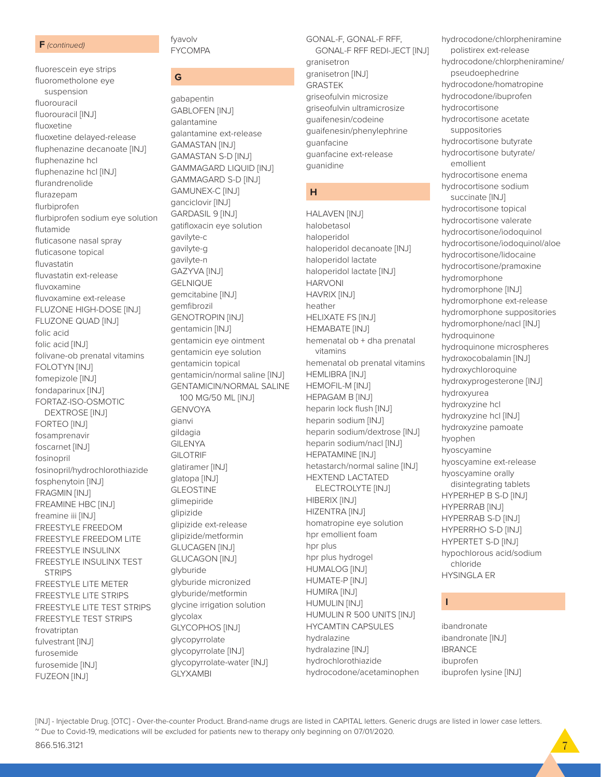### **F** *(continued)*

fluorescein eye strips fluorometholone eye suspension fluorouracil fluorouracil [INJ] fluoxetine fluoxetine delayed-release fluphenazine decanoate [INJ] fluphenazine hcl fluphenazine hcl [INJ] flurandrenolide flurazepam flurbiprofen flurbiprofen sodium eye solution flutamide fluticasone nasal spray fluticasone topical fluvastatin fluvastatin ext-release fluvoxamine fluvoxamine ext-release FLUZONE HIGH-DOSE [INJ] FLUZONE QUAD [INJ] folic acid folic acid [INJ] folivane-ob prenatal vitamins FOLOTYN [INJ] fomepizole [INJ] fondaparinux [INJ] FORTAZ-ISO-OSMOTIC DEXTROSE [INJ] FORTEO [INJ] fosamprenavir foscarnet [INJ] fosinopril fosinopril/hydrochlorothiazide fosphenytoin [INJ] FRAGMIN [INJ] FREAMINE HBC [INJ] freamine iii [INJ] FREESTYLE FREEDOM FREESTYLE FREEDOM LITE FREESTYLE INSULINX FREESTYLE INSULINX TEST **STRIPS** FREESTYLE LITE METER FREESTYLE LITE STRIPS FREESTYLE LITE TEST STRIPS FREESTYLE TEST STRIPS frovatriptan fulvestrant [INJ] furosemide furosemide [INJ] FUZEON [INJ]

fyavolv FYCOMPA

# **G**

gabapentin GABLOFEN [INJ] galantamine galantamine ext-release GAMASTAN [INJ] GAMASTAN S-D [INJ] GAMMAGARD LIQUID [INJ] GAMMAGARD S-D [INJ] GAMUNEX-C [INJ] ganciclovir [INJ] GARDASIL 9 [INJ] gatifloxacin eye solution gavilyte-c gavilyte-g gavilyte-n GAZYVA [INJ] GELNIQUE gemcitabine [INJ] gemfibrozil GENOTROPIN [INJ] gentamicin [INJ] gentamicin eye ointment gentamicin eye solution gentamicin topical gentamicin/normal saline [INJ] GENTAMICIN/NORMAL SALINE 100 MG/50 ML [INJ] GENVOYA gianvi gildagia GILENYA GILOTRIF glatiramer [INJ] glatopa [INJ] **GLEOSTINE** glimepiride glipizide glipizide ext-release glipizide/metformin GLUCAGEN [INJ] GLUCAGON [INJ] glyburide glyburide micronized glyburide/metformin glycine irrigation solution glycolax GLYCOPHOS [INJ] glycopyrrolate glycopyrrolate [INJ] glycopyrrolate-water [INJ] GLYXAMBI

# GONAL-F, GONAL-F RFF,

 GONAL-F RFF REDI-JECT [INJ] granisetron granisetron [INJ] GRASTEK griseofulvin microsize griseofulvin ultramicrosize guaifenesin/codeine guaifenesin/phenylephrine guanfacine guanfacine ext-release guanidine

# **H**

HALAVEN [INJ] halobetasol haloperidol haloperidol decanoate [INJ] haloperidol lactate haloperidol lactate [INJ] HARVONI HAVRIX [INJ] heather HELIXATE FS [INJ] HEMABATE [INJ] hemenatal ob + dha prenatal vitamins hemenatal ob prenatal vitamins HEMLIBRA [INJ] HEMOFIL-M [INJ] HEPAGAM B [INJ] heparin lock flush [INJ] heparin sodium [INJ] heparin sodium/dextrose [INJ] heparin sodium/nacl [INJ] HEPATAMINE [INJ] hetastarch/normal saline [INJ] HEXTEND LACTATED ELECTROLYTE [INJ] HIBERIX [INJ] HIZENTRA [INJ] homatropine eye solution hpr emollient foam hpr plus hpr plus hydrogel HUMALOG [INJ] HUMATE-P [INJ] HUMIRA [INJ] HUMULIN [INJ] HUMULIN R 500 UNITS [INJ] HYCAMTIN CAPSULES hydralazine hydralazine [INJ] hydrochlorothiazide hydrocodone/acetaminophen

hydrocodone/chlorpheniramine polistirex ext-release hydrocodone/chlorpheniramine/ pseudoephedrine hydrocodone/homatropine hydrocodone/ibuprofen hydrocortisone hydrocortisone acetate suppositories hydrocortisone butyrate hydrocortisone butyrate/ emollient hydrocortisone enema hydrocortisone sodium succinate [INJ] hydrocortisone topical hydrocortisone valerate hydrocortisone/iodoquinol hydrocortisone/iodoquinol/aloe hydrocortisone/lidocaine hydrocortisone/pramoxine hydromorphone hydromorphone [INJ] hydromorphone ext-release hydromorphone suppositories hydromorphone/nacl [INJ] hydroquinone hydroquinone microspheres hydroxocobalamin [INJ] hydroxychloroquine hydroxyprogesterone [INJ] hydroxyurea hydroxyzine hcl hydroxyzine hcl [INJ] hydroxyzine pamoate hyophen hyoscyamine hyoscyamine ext-release hyoscyamine orally disintegrating tablets HYPERHEP B S-D [INJ] HYPERRAB [INJ] HYPERRAB S-D [INJ] HYPERRHO S-D [INJ] HYPERTET S-D [INJ] hypochlorous acid/sodium chloride HYSINGLA ER

# **I**

ibandronate ibandronate [INJ] IBRANCE ibuprofen ibuprofen lysine [INJ]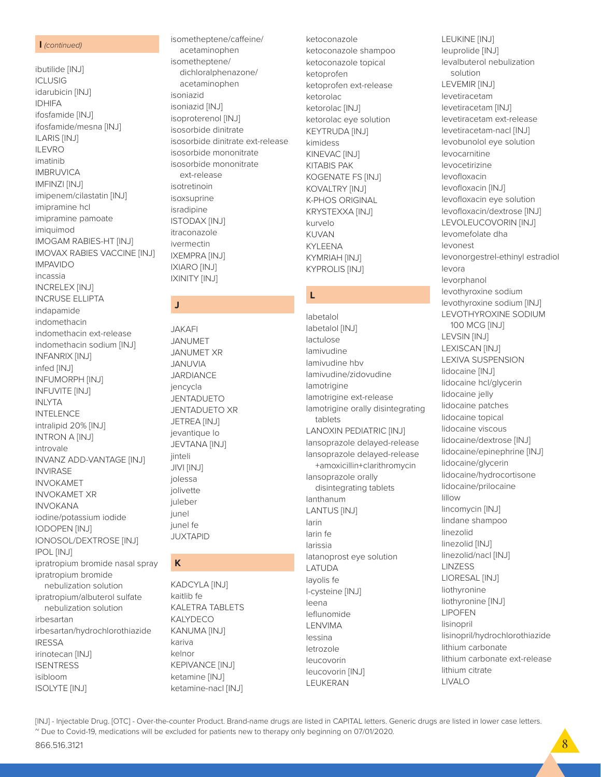### **I** *(continued)*

ibutilide [INJ] **ICLUSIG** idarubicin [INJ] IDHIFA ifosfamide [INJ] ifosfamide/mesna [INJ] ILARIS [INJ] ILEVRO imatinib IMBRUVICA IMFINZI [INJ] imipenem/cilastatin [INJ] imipramine hcl imipramine pamoate imiquimod IMOGAM RABIES-HT [INJ] IMOVAX RABIES VACCINE [INJ] IMPAVIDO incassia INCRELEX [INJ] INCRUSE ELLIPTA indapamide indomethacin indomethacin ext-release indomethacin sodium [INJ] INFANRIX [INJ] infed [INJ] INFUMORPH [INJ] INFUVITE [INJ] INLYTA INTELENCE intralipid 20% [INJ] INTRON A [INJ] introvale INVANZ ADD-VANTAGE [INJ] **INVIRASE** INVOKAMET INVOKAMET XR INVOKANA iodine/potassium iodide IODOPEN [INJ] IONOSOL/DEXTROSE [INJ] IPOL [INJ] ipratropium bromide nasal spray ipratropium bromide nebulization solution ipratropium/albuterol sulfate nebulization solution irbesartan irbesartan/hydrochlorothiazide IRESSA irinotecan [INJ] **ISENTRESS** isibloom

isometheptene/caffeine/ acetaminophen isometheptene/ dichloralphenazone/ acetaminophen isoniazid isoniazid [INJ] isoproterenol [INJ] isosorbide dinitrate isosorbide dinitrate ext-release isosorbide mononitrate isosorbide mononitrate ext-release isotretinoin isoxsuprine isradipine ISTODAX [INJ] itraconazole ivermectin IXEMPRA [INJ] IXIARO [INJ]

IXINITY [INJ]

**J**

JAKAFI JANUMET JANUMET XR JANUVIA **JARDIANCE** jencycla JENTADUETO JENTADUETO XR JETREA [INJ] jevantique lo JEVTANA [INJ]

jinteli JIVI [INJ] jolessa jolivette juleber junel junel fe JUXTAPID

**K**

kariva kelnor

KADCYLA [INJ] kaitlib fe

KALETRA TABLETS KALYDECO KANUMA [INJ]

KEPIVANCE [INJ] ketamine [INJ] ketamine-nacl [INJ]

ketoconazole ketoconazole shampoo ketoconazole topical ketoprofen ketoprofen ext-release ketorolac ketorolac [INJ] ketorolac eye solution KEYTRUDA [INJ] kimidess KINEVAC [INJ] KITABIS PAK KOGENATE FS [INJ] KOVALTRY [INJ] K-PHOS ORIGINAL KRYSTEXXA [INJ] kurvelo KUVAN KYLEENA KYMRIAH [INJ] KYPROLIS [INJ]

## **L**

labetalol labetalol [INJ] lactulose lamivudine lamivudine hbv lamivudine/zidovudine lamotrigine lamotrigine ext-release lamotrigine orally disintegrating tablets LANOXIN PEDIATRIC [INJ] lansoprazole delayed-release lansoprazole delayed-release +amoxicillin+clarithromycin lansoprazole orally disintegrating tablets lanthanum LANTUS [INJ] larin larin fe larissia latanoprost eye solution LATUDA layolis fe l-cysteine [INJ] leena leflunomide LENVIMA lessina letrozole leucovorin leucovorin [INJ] LEUKERAN

LEUKINE [INJ] leuprolide [INJ] levalbuterol nebulization solution LEVEMIR [INJ] levetiracetam levetiracetam [INJ] levetiracetam ext-release levetiracetam-nacl [INJ] levobunolol eye solution levocarnitine levocetirizine levofloxacin levofloxacin [INJ] levofloxacin eye solution levofloxacin/dextrose [INJ] LEVOLEUCOVORIN [INJ] levomefolate dha levonest levonorgestrel-ethinyl estradiol levora levorphanol levothyroxine sodium levothyroxine sodium [INJ] LEVOTHYROXINE SODIUM 100 MCG [INJ] LEVSIN [INJ] LEXISCAN [INJ] LEXIVA SUSPENSION lidocaine [INJ] lidocaine hcl/glycerin lidocaine jelly lidocaine patches lidocaine topical lidocaine viscous lidocaine/dextrose [INJ] lidocaine/epinephrine [INJ] lidocaine/glycerin lidocaine/hydrocortisone lidocaine/prilocaine lillow lincomycin [INJ] lindane shampoo linezolid linezolid [INJ] linezolid/nacl [INJ] LINZESS LIORESAL [INJ] liothyronine liothyronine [INJ] LIPOFEN lisinopril lisinopril/hydrochlorothiazide lithium carbonate lithium carbonate ext-release lithium citrate

LIVALO

[INJ] - Injectable Drug. [OTC] - Over-the-counter Product. Brand-name drugs are listed in CAPITAL letters. Generic drugs are listed in lower case letters. ~ Due to Covid-19, medications will be excluded for patients new to therapy only beginning on 07/01/2020.

ISOLYTE [INJ]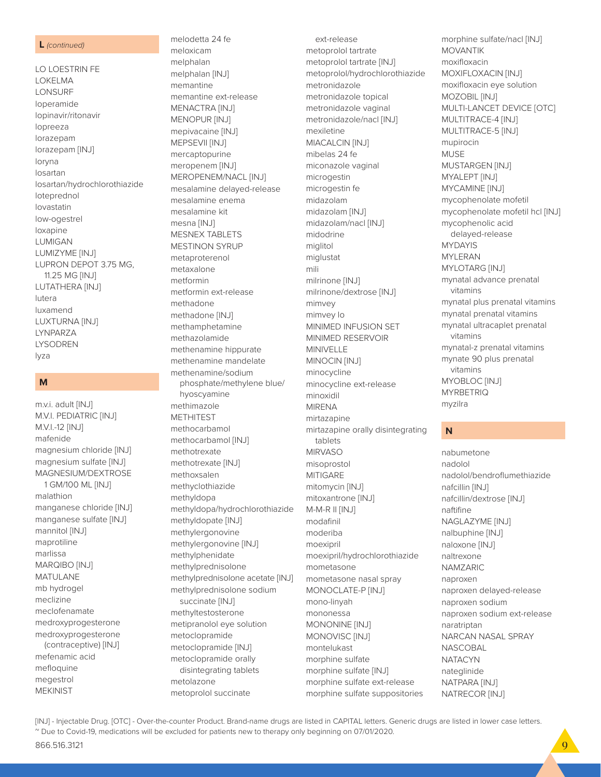### L (continued)

LO LOESTRIN FE **LOKELMA** LONSURF loperamide lopinavir/ritonavir lopreeza lorazepam lorazepam [INJ] loryna losartan losartan/hydrochlorothiazide loteprednol lovastatin low-ogestrel loxapine **LUMIGAN** LUMIZYME [INJ] LUPRON DEPOT 3.75 MG. 11.25 MG [INJ] LUTATHERA [INJ] lutera luxamend **LUXTURNA [INJ]** LYNPARZA **LYSODREN** lyza

# M

m.v.i. adult [INJ] M.V.I. PEDIATRIC [INJ] M.V.I.-12 [INJ] mafenide magnesium chloride [INJ] magnesium sulfate [INJ] MAGNESIUM/DEXTROSE 1 GM/100 ML [INJ] malathion manganese chloride [INJ] manganese sulfate [INJ] mannitol [INJ] maprotiline marlissa MARQIBO [INJ] **MATULANE** mb hydrogel meclizine meclofenamate medroxyprogesterone medroxyprogesterone (contraceptive) [INJ] mefenamic acid mefloquine megestrol **MEKINIST** 

meloxicam melphalan melphalan [INJ] memantine memantine ext-release MENACTRA [INJ] MENOPUR [INJ] mepivacaine [INJ] MEPSEVII [INJ] mercaptopurine meropenem [INJ] MEROPENEM/NACL [INJ] mesalamine delayed-release mesalamine enema mesalamine kit mesna [INJ] **MESNEX TABLETS MESTINON SYRUP** metaproterenol metaxalone metformin metformin ext-release methadone methadone [INJ] methamphetamine methazolamide methenamine hippurate methenamine mandelate methenamine/sodium phosphate/methylene blue/ hyoscyamine methimazole **METHITEST** methocarbamol methocarbamol [INJ] methotrexate methotrexate [INJ] methoxsalen methyclothiazide methyldopa methyldopa/hydrochlorothiazide methyldopate [INJ] methylergonovine methylergonovine [INJ] methylphenidate methylprednisolone methylprednisolone acetate [INJ] methylprednisolone sodium succinate [INJ] methyltestosterone metipranolol eye solution metoclopramide metoclopramide [INJ] metoclopramide orally disintegrating tablets metolazone metoprolol succinate

melodetta 24 fe

ext-release metoprolol tartrate metoprolol tartrate [INJ] metoprolol/hydrochlorothiazide metronidazole metronidazole topical metronidazole vaginal metronidazole/nacl [INJ] mexiletine **MIACALCIN [INJ]** mibelas 24 fe miconazole vaginal microgestin microgestin fe midazolam midazolam [INJ] midazolam/nacl [INJ] midodrine miglitol miglustat mili milrinone [INJ] milrinone/dextrose [INJ] mimvey mimvey lo MINIMED INFUSION SET MINIMED RESERVOIR MINIVELLE MINOCIN [INJ] minocycline minocycline ext-release minoxidil **MIRENA** mirtazapine mirtazapine orally disintegrating tablets **MIRVASO** misoprostol **MITIGARE** mitomycin [INJ] mitoxantrone [INJ] M-M-R II [INJ] modafinil moderiba moexipril moexipril/hydrochlorothiazide mometasone mometasone nasal spray MONOCLATE-P [INJ] mono-linyah mononessa MONONINE [INJ] MONOVISC<sup>[INJ]</sup> montelukast morphine sulfate morphine sulfate [INJ] morphine sulfate ext-release morphine sulfate suppositories

morphine sulfate/nacl [INJ] **MOVANTIK** moxifloxacin MOXIFLOXACIN [INJ] moxifloxacin eye solution MOZOBIL [INJ] MULTI-LANCET DEVICE [OTC] MULTITRACE-4 [INJ] MULTITRACE-5 [INJ] mupirocin **MUSE** MUSTARGEN [INJ] MYALEPT [INJ] MYCAMINE [INJ] mycophenolate mofetil mycophenolate mofetil hcl [INJ] mycophenolic acid delayed-release **MYDAYIS MYLERAN** MYLOTARG [INJ] mynatal advance prenatal vitamins mynatal plus prenatal vitamins mynatal prenatal vitamins mynatal ultracaplet prenatal vitamins mynatal-z prenatal vitamins mynate 90 plus prenatal vitamins MYOBLOC [INJ] **MYRBETRIQ** myzilra

### N

nabumetone nadolol nadolol/bendroflumethiazide nafcillin [INJ] nafcillin/dextrose [INJ] naftifine NAGLAZYME [INJ] nalbuphine [INJ] naloxone [INJ] naltrexone NAMZARIC naproxen naproxen delayed-release naproxen sodium naproxen sodium ext-release naratriptan NARCAN NASAL SPRAY **NASCOBAL NATACYN** nateglinide NATPARA [INJ] NATRECOR [INJ]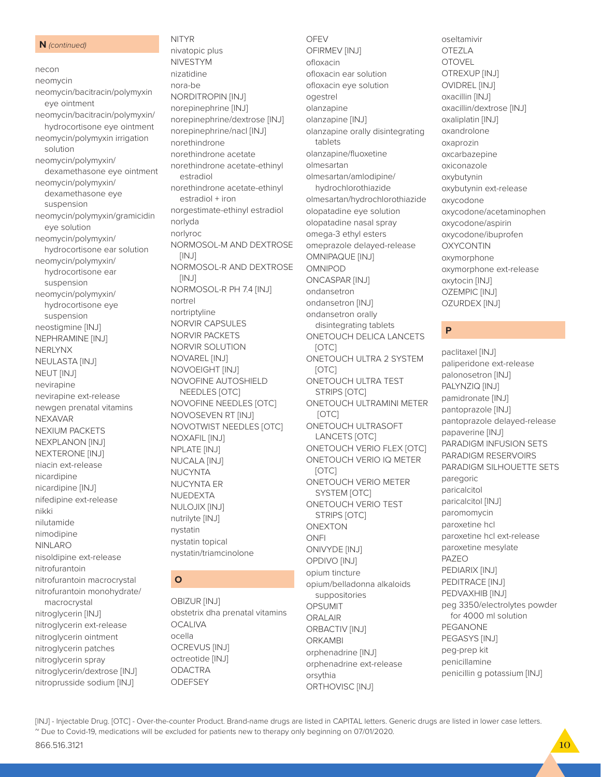### **N** *(continued)*

necon neomycin neomycin/bacitracin/polymyxin eye ointment neomycin/bacitracin/polymyxin/ hydrocortisone eye ointment neomycin/polymyxin irrigation solution neomycin/polymyxin/ dexamethasone eye ointment neomycin/polymyxin/ dexamethasone eye suspension neomycin/polymyxin/gramicidin eye solution neomycin/polymyxin/ hydrocortisone ear solution neomycin/polymyxin/ hydrocortisone ear suspension neomycin/polymyxin/ hydrocortisone eye suspension neostigmine [INJ] NEPHRAMINE [INJ] NERLYNX NEULASTA [INJ] NEUT [INJ] nevirapine nevirapine ext-release newgen prenatal vitamins NEXAVAR NEXIUM PACKETS NEXPLANON [INJ] NEXTERONE [INJ] niacin ext-release nicardipine nicardipine [INJ] nifedipine ext-release nikki nilutamide nimodipine NINLARO nisoldipine ext-release nitrofurantoin nitrofurantoin macrocrystal nitrofurantoin monohydrate/ macrocrystal nitroglycerin [INJ] nitroglycerin ext-release nitroglycerin ointment nitroglycerin patches nitroglycerin spray nitroglycerin/dextrose [INJ] nitroprusside sodium [INJ]

# NITYR nivatopic plus NIVESTYM nizatidine nora-be NORDITROPIN [INJ] norepinephrine [INJ] norepinephrine/dextrose [INJ] norepinephrine/nacl [INJ] norethindrone norethindrone acetate norethindrone acetate-ethinyl estradiol norethindrone acetate-ethinyl estradiol + iron norgestimate-ethinyl estradiol norlyda norlyroc NORMOSOL-M AND DEXTROSE [INJ] NORMOSOL-R AND DEXTROSE [INJ] NORMOSOL-R PH 7.4 [INJ] nortrel nortriptyline NORVIR CAPSULES NORVIR PACKETS NORVIR SOLUTION NOVAREL [INJ] NOVOEIGHT [INJ] NOVOFINE AUTOSHIELD NEEDLES [OTC] NOVOFINE NEEDLES [OTC] NOVOSEVEN RT [INJ] NOVOTWIST NEEDLES [OTC] NOXAFIL [INJ] NPLATE [INJ] NUCALA [INJ] **NUCYNTA** NUCYNTA ER NUEDEXTA NULOJIX [INJ] nutrilyte [INJ] nystatin nystatin topical nystatin/triamcinolone

# **O**

OBIZUR [INJ] obstetrix dha prenatal vitamins **OCALIVA** ocella OCREVUS [INJ] octreotide [INJ] ODACTRA **ODEFSEY** 

OFEV OFIRMEV [INJ] ofloxacin ofloxacin ear solution ofloxacin eye solution ogestrel olanzapine olanzapine [INJ] olanzapine orally disintegrating tablets olanzapine/fluoxetine olmesartan olmesartan/amlodipine/ hydrochlorothiazide olmesartan/hydrochlorothiazide olopatadine eye solution olopatadine nasal spray omega-3 ethyl esters omeprazole delayed-release OMNIPAQUE [INJ] OMNIPOD ONCASPAR [INJ] ondansetron ondansetron [INJ] ondansetron orally disintegrating tablets ONETOUCH DELICA LANCETS [OTC] ONETOUCH ULTRA 2 SYSTEM [OTC] ONETOUCH ULTRA TEST STRIPS [OTC] ONETOUCH ULTRAMINI METER [OTC] ONETOUCH ULTRASOFT LANCETS [OTC] ONETOUCH VERIO FLEX [OTC] ONETOUCH VERIO IQ METER [OTC] ONETOUCH VERIO METER SYSTEM [OTC] ONETOUCH VERIO TEST STRIPS [OTC] ONEXTON ONFI ONIVYDE [INJ] OPDIVO [INJ] opium tincture opium/belladonna alkaloids suppositories OPSUMIT ORALAIR ORBACTIV [INJ] ORKAMBI orphenadrine [INJ] orphenadrine ext-release orsythia ORTHOVISC [INJ]

oseltamivir OTEZLA OTOVEL OTREXUP [INJ] OVIDREL [INJ] oxacillin [INJ] oxacillin/dextrose [INJ] oxaliplatin [INJ] oxandrolone oxaprozin oxcarbazepine oxiconazole oxybutynin oxybutynin ext-release oxycodone oxycodone/acetaminophen oxycodone/aspirin oxycodone/ibuprofen OXYCONTIN oxymorphone oxymorphone ext-release oxytocin [INJ] OZEMPIC [INJ] OZURDEX [INJ]

# **P**

paclitaxel [INJ] paliperidone ext-release palonosetron [INJ] PALYNZIQ [INJ] pamidronate [INJ] pantoprazole [INJ] pantoprazole delayed-release papaverine [INJ] PARADIGM INFUSION SETS PARADIGM RESERVOIRS PARADIGM SILHOUETTE SETS paregoric paricalcitol paricalcitol [INJ] paromomycin paroxetine hcl paroxetine hcl ext-release paroxetine mesylate PAZEO PEDIARIX [INJ] PEDITRACE [INJ] PEDVAXHIB [INJ] peg 3350/electrolytes powder for 4000 ml solution PEGANONE PEGASYS [INJ] peg-prep kit penicillamine penicillin g potassium [INJ]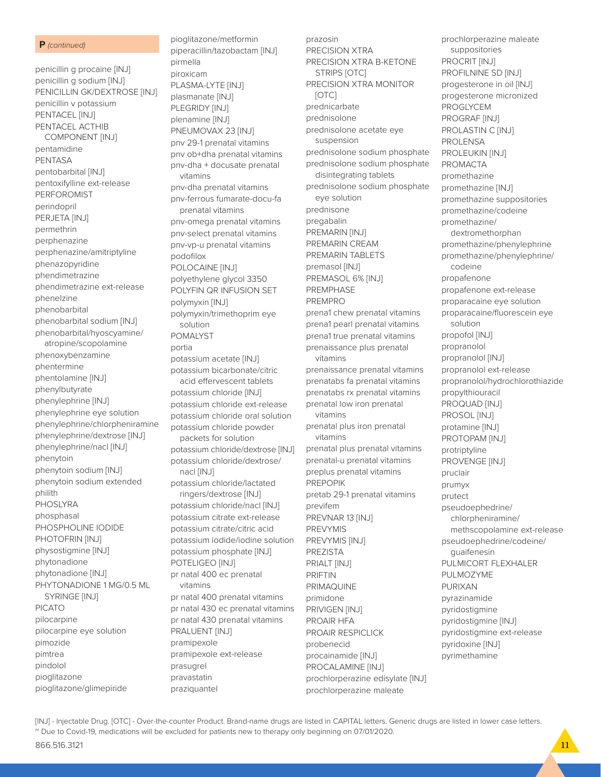### **P** *(continued)*

penicillin g procaine [INJ] penicillin g sodium [INJ] PENICILLIN GK/DEXTROSE [INJ] penicillin v potassium PENTACEL [INJ] PENTACEL ACTHIB COMPONENT [INJ] pentamidine PENTASA pentobarbital [INJ] pentoxifylline ext-release PERFOROMIST perindopril PERJETA [INJ] permethrin perphenazine perphenazine/amitriptyline phenazopyridine phendimetrazine phendimetrazine ext-release phenelzine phenobarbital phenobarbital sodium [INJ] phenobarbital/hyoscyamine/ atropine/scopolamine phenoxybenzamine phentermine phentolamine [INJ] phenylbutyrate phenylephrine [INJ] phenylephrine eye solution phenylephrine/chlorpheniramine phenylephrine/dextrose [INJ] phenylephrine/nacl [INJ] phenytoin phenytoin sodium [INJ] phenytoin sodium extended philith PHOSLYRA phosphasal PHOSPHOLINE IODIDE PHOTOFRIN [INJ] physostigmine [INJ] phytonadione phytonadione [INJ] PHYTONADIONE 1 MG/0.5 ML SYRINGE [INJ] PICATO pilocarpine pilocarpine eye solution pimozide pimtrea pindolol pioglitazone pioglitazone/glimepiride

pioglitazone/metformin piperacillin/tazobactam [INJ] pirmella piroxicam PLASMA-LYTE [INJ] plasmanate [INJ] PLEGRIDY [INJ] plenamine [INJ] PNEUMOVAX 23 [INJ] pnv 29-1 prenatal vitamins pnv ob+dha prenatal vitamins pnv-dha + docusate prenatal vitamins pnv-dha prenatal vitamins pnv-ferrous fumarate-docu-fa prenatal vitamins pnv-omega prenatal vitamins pnv-select prenatal vitamins pnv-vp-u prenatal vitamins podofilox POLOCAINE [INJ] polyethylene glycol 3350 POLYFIN QR INFUSION SET polymyxin [INJ] polymyxin/trimethoprim eye solution POMALYST portia potassium acetate [INJ] potassium bicarbonate/citric acid effervescent tablets potassium chloride [INJ] potassium chloride ext-release potassium chloride oral solution potassium chloride powder packets for solution potassium chloride/dextrose [INJ] potassium chloride/dextrose/ nacl [INJ] potassium chloride/lactated ringers/dextrose [INJ] potassium chloride/nacl [INJ] potassium citrate ext-release potassium citrate/citric acid potassium iodide/iodine solution potassium phosphate [INJ] POTELIGEO [INJ] pr natal 400 ec prenatal vitamins pr natal 400 prenatal vitamins pr natal 430 ec prenatal vitamins pr natal 430 prenatal vitamins PRALUENT [INJ] pramipexole pramipexole ext-release prasugrel pravastatin

prazosin PRECISION XTRA PRECISION XTRA B-KETONE STRIPS [OTC] PRECISION XTRA MONITOR [OTC] prednicarbate prednisolone prednisolone acetate eye suspension prednisolone sodium phosphate prednisolone sodium phosphate disintegrating tablets prednisolone sodium phosphate eye solution prednisone pregabalin PREMARIN [INJ] PREMARIN CREAM PREMARIN TABLETS premasol [INJ] PREMASOL 6% [INJ] PREMPHASE PREMPRO prena1 chew prenatal vitamins prena1 pearl prenatal vitamins prena1 true prenatal vitamins prenaissance plus prenatal vitamins prenaissance prenatal vitamins prenatabs fa prenatal vitamins prenatabs rx prenatal vitamins prenatal low iron prenatal vitamins prenatal plus iron prenatal vitamins prenatal plus prenatal vitamins prenatal-u prenatal vitamins preplus prenatal vitamins PREPOPIK pretab 29-1 prenatal vitamins previfem PREVNAR 13 [INJ] PREVYMIS PREVYMIS [INJ] PREZISTA PRIALT [INJ] PRIFTIN PRIMAQUINE primidone PRIVIGEN [INJ] PROAIR HFA PROAIR RESPICLICK probenecid procainamide [INJ] PROCALAMINE [INJ] prochlorperazine edisylate [INJ] prochlorperazine maleate

prochlorperazine maleate suppositories PROCRIT [INJ] PROFILNINE SD [INJ] progesterone in oil [INJ] progesterone micronized PROGLYCEM PROGRAF [INJ] PROLASTIN C [INJ] PROLENSA PROLEUKIN [INJ] PROMACTA promethazine promethazine [INJ] promethazine suppositories promethazine/codeine promethazine/ dextromethorphan promethazine/phenylephrine promethazine/phenylephrine/ codeine propafenone propafenone ext-release proparacaine eye solution proparacaine/fluorescein eye solution propofol [INJ] propranolol propranolol [INJ] propranolol ext-release propranolol/hydrochlorothiazide propylthiouracil PROQUAD [INJ] PROSOL [INJ] protamine [INJ] PROTOPAM [INJ] protriptyline PROVENGE [INJ] pruclair prumyx prutect pseudoephedrine/ chlorpheniramine/ methscopolamine ext-release pseudoephedrine/codeine/ guaifenesin PULMICORT FLEXHALER PULMOZYME PURIXAN pyrazinamide pyridostigmine pyridostigmine [INJ] pyridostigmine ext-release pyridoxine [INJ] pyrimethamine

[INJ] - Injectable Drug. [OTC] - Over-the-counter Product. Brand-name drugs are listed in CAPITAL letters. Generic drugs are listed in lower case letters. ~ Due to Covid-19, medications will be excluded for patients new to therapy only beginning on 07/01/2020.

praziquantel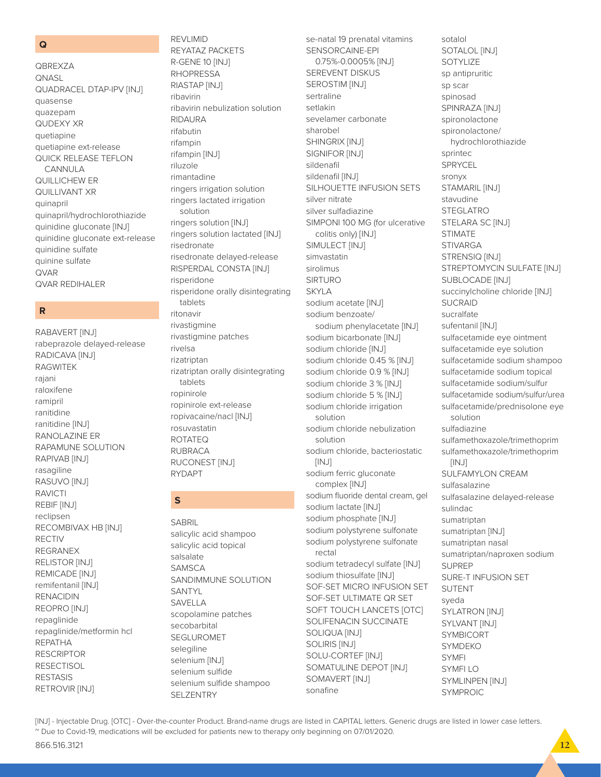### $\overline{Q}$

**QBREXZA QNASL QUADRACEL DTAP-IPV [INJ]** quasense quazepam QUDEXY XR quetiapine quetiapine ext-release QUICK RELEASE TEFLON CANNULA QUILLICHEW ER **QUILLIVANT XR** quinapril quinapril/hydrochlorothiazide quinidine gluconate [INJ] quinidine gluconate ext-release quinidine sulfate quinine sulfate **QVAR QVAR REDIHALER** 

# $\overline{\mathbf{R}}$

RABAVERT [INJ] rabeprazole delayed-release RADICAVA [INJ] **RAGWITEK** rajani raloxifene ramipril ranitidine ranitidine [INJ] RANOLAZINE ER RAPAMUNE SOLUTION RAPIVAB [INJ] rasagiline RASUVO [INJ] **RAVICTI** REBIF [INJ] reclipsen RECOMBIVAX HB [INJ] **RECTIV REGRANEX RELISTOR [INJ]** REMICADE [INJ] remifentanil [INJ] **RENACIDIN** REOPRO [INJ] repaglinide repaglinide/metformin hcl **REPATHA RESCRIPTOR RESECTISOL RESTASIS** RETROVIR [INJ]

REYATAZ PACKETS R-GENE 10 [INJ] **RHOPRESSA** RIASTAP [INJ] ribavirin ribavirin nebulization solution **RIDAURA** rifabutin rifampin rifampin [INJ] riluzole rimantadine ringers irrigation solution ringers lactated irrigation solution ringers solution [INJ] ringers solution lactated [INJ] risedronate risedronate delayed-release RISPERDAL CONSTA [INJ] risperidone risperidone orally disintegrating tablets ritonavir rivastigmine rivastigmine patches rivelsa rizatriptan rizatriptan orally disintegrating tablets ropinirole ropinirole ext-release ropivacaine/nacl [INJ] rosuvastatin **ROTATEO RUBRACA RUCONEST [INJ] RYDAPT** 

REVI IMID

# $\mathbf S$

**SABRIL** salicylic acid shampoo salicylic acid topical salsalate SAMSCA SANDIMMUNE SOLUTION SANTYL SAVELLA scopolamine patches secobarbital SEGLUROMET selegiline selenium [INJ] selenium sulfide selenium sulfide shampoo **SELZENTRY** 

se-natal 19 prenatal vitamins SENSORCAINE-EPI 0.75%-0.0005% [INJ] **SEREVENT DISKUS SEROSTIM [INJ]** sertraline setlakin sevelamer carbonate sharobel SHINGRIX [INJ] SIGNIFOR [INJ] sildenafil sildenafil [INJ] SILHOUETTE INFUSION SETS silver nitrate silver sulfadiazine SIMPONI 100 MG (for ulcerative colitis only) [INJ] SIMULECT [INJ] simvastatin sirolimus **SIRTURO SKYLA** sodium acetate [INJ] sodium benzoate/ sodium phenylacetate [INJ] sodium bicarbonate [INJ] sodium chloride [INJ] sodium chloride 0.45 % [INJ] sodium chloride 0.9 % [INJ] sodium chloride 3 % [INJ] sodium chloride 5 % [INJ] sodium chloride irrigation solution sodium chloride nebulization solution sodium chloride, bacteriostatic  $[INJ]$ sodium ferric gluconate complex [INJ] sodium fluoride dental cream, gel sodium lactate [INJ] sodium phosphate [INJ] sodium polystyrene sulfonate sodium polystyrene sulfonate rectal sodium tetradecyl sulfate [INJ] sodium thiosulfate [INJ] SOF-SET MICRO INFUSION SET SOF-SET ULTIMATE QR SET SOFT TOUCH LANCETS [OTC] SOLIFENACIN SUCCINATE **SOLIQUA [INJ] SOLIRIS [INJ]** SOLU-CORTEF [INJ] SOMATULINE DEPOT [INJ] SOMAVERT [INJ] sonafine

sotalol SOTALOL [INJ] SOTYLIZE sp antipruritic sp scar spinosad SPINRAZA [INJ] spironolactone spironolactone/ hydrochlorothiazide sprintec **SPRYCEL** sronvx STAMARIL [INJ] stavudine STEGI ATRO STELARA SC [INJ] **STIMATE STIVARGA** STRENSIQ [INJ] STREPTOMYCIN SULFATE [INJ] SUBLOCADE [INJ] succinylcholine chloride [INJ] **SUCRAID** sucralfate sufentanil [INJ] sulfacetamide eye ointment sulfacetamide eye solution sulfacetamide sodium shampoo sulfacetamide sodium topical sulfacetamide sodium/sulfur sulfacetamide sodium/sulfur/urea sulfacetamide/prednisolone eye solution sulfadiazine sulfamethoxazole/trimethoprim sulfamethoxazole/trimethoprim  $[INJ]$ **SULFAMYLON CREAM** sulfasalazine sulfasalazine delayed-release sulindac sumatriptan sumatriptan [INJ] sumatriptan nasal sumatriptan/naproxen sodium **SUPREP** SURE-T INFUSION SET **SUTENT** sveda **SYLATRON [INJ]** SYLVANT [INJ] **SYMBICORT SYMDEKO SYMFI SYMFILO** SYMLINPEN [INJ] **SYMPROIC**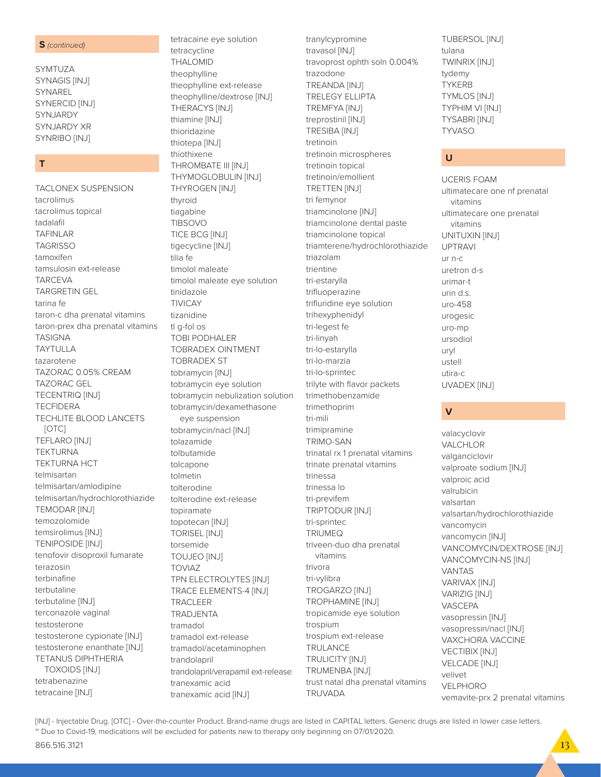### **S** (continued)

SYMTUZA **SYNAGIS [INJ]** SYNAREL SYNERCID [INJ] **SYNJARDY SYNJARDY XR** SYNRIBO [INJ]

## $T$

TACLONEX SUSPENSION tacrolimus tacrolimus topical tadalafil **TAFINLAR TAGRISSO** tamoxifen tamsulosin ext-release **TARCEVA TARGRETIN GEL** tarina fe taron-c dha prenatal vitamins taron-prex dha prenatal vitamins **TASIGNA TAYTULLA** tazarotene TAZORAC 0.05% CREAM **TAZORAC GEL TECENTRIQ [INJ] TECFIDERA TECHLITE BLOOD LANCETS**  $[OTC]$ **TEFLARO [INJ] TEKTURNA TEKTURNA HCT** telmisartan telmisartan/amlodipine telmisartan/hydrochlorothiazide **TEMODAR [INJ]** temozolomide temsirolimus [INJ] **TENIPOSIDE [INJ]** tenofovir disoproxil fumarate terazosin terbinafine terbutaline terbutaline [INJ] terconazole vaginal testosterone testosterone cypionate [INJ] testosterone enanthate [INJ] **TETANUS DIPHTHERIA TOXOIDS [INJ]** tetrabenazine tetracaine [INJ]

tetracycline **THALOMID** theophylline theophylline ext-release theophylline/dextrose [INJ] THERACYS [INJ] thiamine [INJ] thioridazine thiotepa [INJ] thiothixene THROMBATE III [INJ] THYMOGLOBULIN [INJ] THYROGEN [INJ] thyroid tiagabine **TIBSOVO** TICE BCG [INJ] tigecycline [INJ] tilia fe timolol maleate timolol maleate eye solution tinidazole **TIVICAY** tizanidine tl a-fol os TOBI PODHALER **TOBRADEX OINTMENT TOBRADEX ST** tobramycin [INJ] tobramycin eye solution tobramycin nebulization solution tobramycin/dexamethasone eye suspension tobramycin/nacl [INJ] tolazamide tolbutamide tolcanone tolmetin tolterodine tolterodine ext-release topiramate topotecan [INJ] **TORISEL [INJ]** torsemide **TOUJEO [INJ] TOVIAZ** TPN ELECTROLYTES [INJ] **TRACE ELEMENTS-4 [INJ] TRACI FFR** TRADJENTA tramadol tramadol ext-release tramadol/acetaminophen trandolapril trandolapril/verapamil ext-release tranexamic acid tranexamic acid [INJ]

tetracaine eye solution

tranylcypromine travasol [INJ] travoprost ophth soln 0.004% trazodone **TREANDA [INJ] TRELEGY ELLIPTA TREMFYA [INJ]** treprostinil [INJ] **TRESIBA [INJ]** tretinoin tretinoin microspheres tretinoin topical tretinoin/emollient **TRETTEN [INJ]** tri femynor triamcinolone [INJ] triamcinolone dental paste triamcinolone topical triamterene/hydrochlorothiazide triazolam trientine tri-estarylla trifluoperazine trifluridine eye solution trihexyphenidyl tri-legest fe tri-linyah tri-lo-estarylla tri-lo-marzia tri-lo-sprintec trilyte with flavor packets trimethobenzamide trimethoprim tri-mili trimipramine **TRIMO-SAN** trinatal rx 1 prenatal vitamins trinate prenatal vitamins trinessa trinessa lo tri-previfem TRIPTODUR [INJ] tri-sprintec **TRIUMEQ** triveen-duo dha prenatal vitamins trivora tri-vylibra **TROGARZO [INJ] TROPHAMINE [INJ]** tropicamide eye solution trospium trospium ext-release **TRULANCE** TRULICITY [INJ] **TRUMENBA [INJ]** trust natal dha prenatal vitamins **TRUVADA** 

**TUBERSOL [INJ]** tulana **TWINRIX [INJ]** tydemy **TYKERB TYMLOS [INJ]** TYPHIM VI [INJ] **TYSABRI [INJ] TYVASO** 

### $\cup$

**UCERIS FOAM** ultimatecare one nf prenatal vitamins ultimatecare one prenatal vitamins UNITUXIN [INJ] **UPTRAVI**  $IITD-C$ uretron d-s urimar-t  $1$ urin d s uro-458 urogesic uro-mp ursodiol **TIN** ustell utira-c UVADEX [INJ]

### $\mathbf v$

valacyclovir VALCHLOR valganciclovir valproate sodium [INJ] valproic acid valrubicin valsartan valsartan/hydrochlorothiazide vancomycin vancomycin [INJ] VANCOMYCIN/DEXTROSE [INJ] VANCOMYCIN-NS [INJ] **VANTAS** VARIVAX [INJ] VARIZIG [INJ] **VASCEPA** vasopressin [INJ] vasopressin/nacl [INJ] **VAXCHORA VACCINE VECTIBIX [INJ] VELCADE [INJ]** velivet VELPHORO vemavite-prx 2 prenatal vitamins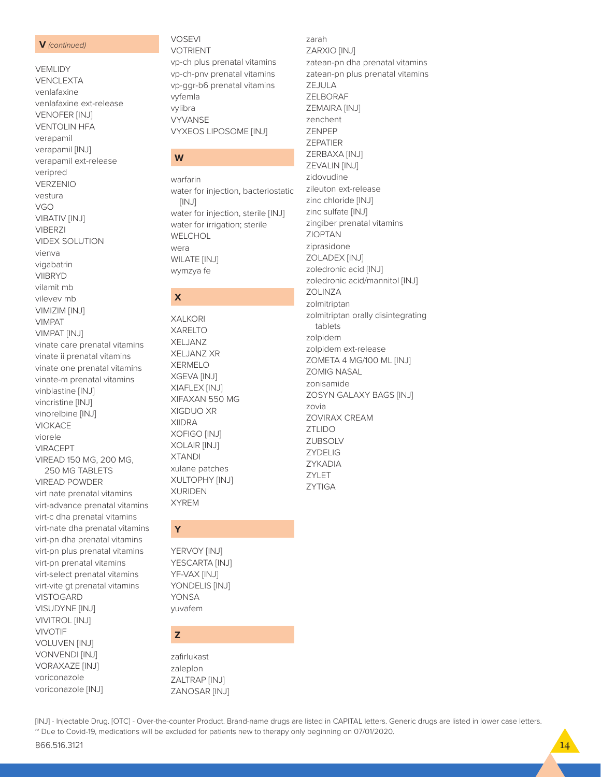### V (continued)

VEMLIDY **VENCLEXTA** venlafaxine venlafaxine ext-release **VENOFER [INJ] VENTOLIN HFA** verapamil verapamil [INJ] verapamil ext-release veripred VERZENIO vestura **VGO VIBATIV [INJ] VIBERZI VIDEX SOLUTION** vienva vigabatrin **VIIBRYD** vilamit mb vileyey mh VIMIZIM [INJ] **VIMPAT** VIMPAT [INJ] vinate care prenatal vitamins vinate ii prenatal vitamins vinate one prenatal vitamins vinate-m prenatal vitamins vinblastine [INJ] vincristine [INJ] vinorelbine [INJ] **VIOKACE** viorele **VIRACEPT** VIREAD 150 MG, 200 MG, 250 MG TABLETS **VIREAD POWDER** virt nate prenatal vitamins virt-advance prenatal vitamins virt-c dha prenatal vitamins virt-nate dha prenatal vitamins virt-pn dha prenatal vitamins virt-pn plus prenatal vitamins virt-pn prenatal vitamins virt-select prenatal vitamins virt-vite gt prenatal vitamins **VISTOGARD** VISUDYNE [INJ] **VIVITROL [INJ] VIVOTIF** 

**VOLUVEN [INJ] VONVENDI [INJ] VORAXAZE [INJ]** voriconazole voriconazole [INJ]

# W warfarin water for injection, bacteriostatic  $[INJ]$ water for injection, sterile [INJ] water for irrigation; sterile

WELCHOL

**WILATE [INJ]** 

wymzya fe

**XALKORI** 

**XARELTO** 

**XELJANZ** 

**XERMELO** 

XELJANZ XR

XGEVA [INJ]

XIGDUO XR

XOFIGO [INJ]

XOLAIR [INJ]

xulane patches

XULTOPHY [INJ]

**XIIDRA** 

**XTANDI** 

**XURIDEN** 

YERVOY [INJ] YESCARTA [INJ]

YF-VAX [INJ]

**YONSA** 

vuvafem

zafirlukast

ZALTRAP [INJ]

ZANOSAR [INJ]

~ Due to Covid-19, medications will be excluded for patients new to therapy only beginning on 07/01/2020.

[INJ] - Injectable Drug. [OTC] - Over-the-counter Product. Brand-name drugs are listed in CAPITAL letters. Generic drugs are listed in lower case letters.

zaleplon

Z

YONDELIS [INJ]

**XYREM** 

Ÿ

XIAFLEX [INJ]

XIFAXAN 550 MG

wera

 $\boldsymbol{\mathsf{x}}$ 

**VOTRIENT** vp-ch plus prenatal vitamins vp-ch-pnv prenatal vitamins vp-ggr-b6 prenatal vitamins vyfemla vylibra **VYVANSE VYXEOS LIPOSOME [INJ]** 

**VOSEVI** 

zarah ZARXIO [INJ] zatean-pn dha prenatal vitamins zatean-pn plus prenatal vitamins ZEJULA ZELBORAF ZEMAIRA [INJ] zenchent **7FNPFP ZEPATIER** ZERBAXA [INJ] ZEVALIN [INJ] zidovudine zileuton ext-release zinc chloride [INJ] zinc sulfate [INJ] zingiber prenatal vitamins **ZIOPTAN** ziprasidone ZOLADEX [INJ] zoledronic acid [INJ] zoledronic acid/mannitol [INJ] **ZOLINZA** zolmitriptan zolmitriptan orally disintegrating tablets zolpidem zolpidem ext-release ZOMETA 4 MG/100 ML [INJ] **ZOMIG NASAL** zonisamide ZOSYN GALAXY BAGS [INJ] zovia **ZOVIRAX CREAM ZTLIDO** ZUBSOLV **ZYDELIG** ZYKADIA ZYLET **ZYTIGA**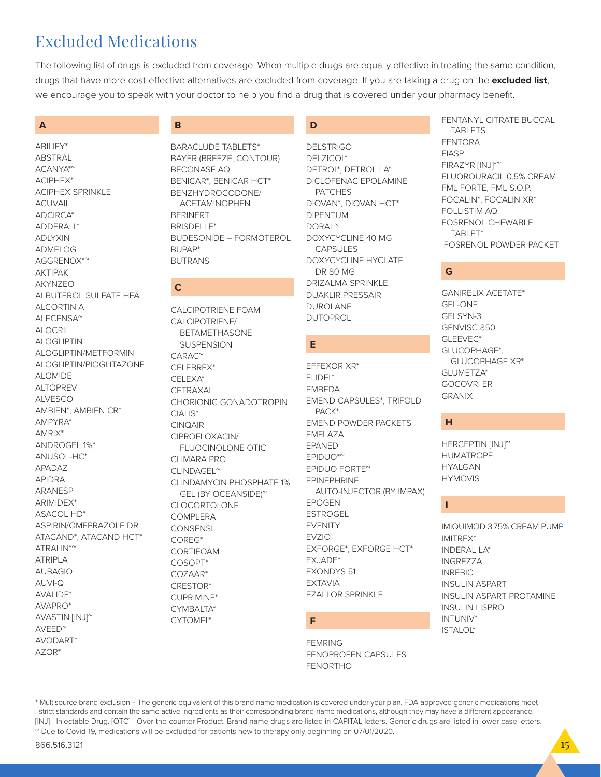# Excluded Medications

The following list of drugs is excluded from coverage. When multiple drugs are equally effective in treating the same condition, drugs that have more cost-effective alternatives are excluded from coverage. If you are taking a drug on the **excluded list**, we encourage you to speak with your doctor to help you find a drug that is covered under your pharmacy benefit.

# **A**

ABILIFY\* ABSTRAL ACANYA\*~ ACIPHEX\* ACIPHEX SPRINKLE ACUVAIL ADCIRCA\* ADDERALL\* **ADIYXIN** ADMELOG AGGRENOX\*<sup>~</sup> AKTIPAK AKYNZEO ALBUTEROL SULFATE HFA ALCORTIN A ALECENSA~ ALOCRIL ALOGLIPTIN ALOGLIPTIN/METFORMIN ALOGLIPTIN/PIOGLITAZONE ALOMIDE ALTOPREV ALVESCO AMBIEN\*, AMBIEN CR\* AMPYRA\* AMRIX\* ANDROGEL 1%\* ANUSOL-HC\* APADAZ APIDRA ARANESP ARIMIDEX\* ASACOL HD\* ASPIRIN/OMEPRAZOLE DR ATACAND\*, ATACAND HCT\* ATRALIN\*<sup>~</sup> ATRIPLA AUBAGIO AUVI-Q AVALIDE\* AVAPRO\* AVASTIN [INJ]~  $AVEED<sup>o</sup>$ AVODART\* AZOR\*

# **B**

BARACLUDE TABLETS\* BAYER (BREEZE, CONTOUR) BECONASE AQ BENICAR\*, BENICAR HCT\* BENZHYDROCODONE/ ACETAMINOPHEN BERINERT BRISDELLE\* BUDESONIDE – FORMOTEROL BUPAP\* BUTRANS

# **C**

CALCIPOTRIENE FOAM CALCIPOTRIENE/ BETAMETHASONE **SUSPENSION**  $CARAC^{\sim}$ CELEBREX\* CELEXA\* **CETRAXAL** CHORIONIC GONADOTROPIN  $CIAIIS*$ CINQAIR CIPROFLOXACIN/ FLUOCINOLONE OTIC CLIMARA PRO CLINDAGEL~ CLINDAMYCIN PHOSPHATE 1% GEL (BY OCEANSIDE)~ CLOCORTOLONE COMPLERA **CONSENSI** COREG\* CORTIFOAM COSOPT\* COZAAR\* CRESTOR\* CUPRIMINE\* CYMBALTA\* CYTOMEL\*

# **D**

DELSTRIGO DELZICOL\* DETROL\*, DETROL LA\* DICLOFENAC EPOLAMINE PATCHES DIOVAN\*, DIOVAN HCT\* DIPENTUM DORAL~ DOXYCYCLINE 40 MG CAPSULES DOXYCYCLINE HYCLATE DR 80 MG DRIZALMA SPRINKLE DUAKLIR PRESSAIR DUROLANE DUTOPROL

# **E**

EFFEXOR XR\* ELIDEL\* **FMBFDA** EMEND CAPSULES\*, TRIFOLD PACK\* EMEND POWDER PACKETS EMFLAZA EPANED EPIDUO\*~ EPIDUO FORTE~ EPINEPHRINE AUTO-INJECTOR (BY IMPAX) EPOGEN ESTROGEL EVENITY EVZIO EXFORGE\*, EXFORGE HCT\* EXJADE\* EXONDYS 51 EXTAVIA EZALLOR SPRINKLE

# **F**

FEMRING FENOPROFEN CAPSULES FENORTHO

FENTANYL CITRATE BUCCAL TABLETS FENTORA FIASP FIRAZYR [INJ]\*~ FLUOROURACIL 0.5% CREAM FML FORTE, FML S.O.P. FOCALIN\*, FOCALIN XR\* FOLLISTIM AQ FOSRENOL CHEWABLE TABLET\* FOSRENOL POWDER PACKET

# **G**

GANIRELIX ACETATE\* GEL-ONE GELSYN-3 GENVISC 850 GLEEVEC\* GLUCOPHAGE\*, GLUCOPHAGE XR\* GLUMETZA\* GOCOVRI ER GRANIX

# **H**

HERCEPTIN [INJ]<sup>~</sup> HUMATROPE HYALGAN HYMOVIS

# **I**

IMIQUIMOD 3.75% CREAM PUMP IMITREX\* INDERAL LA\* INGREZZA INREBIC INSULIN ASPART INSULIN ASPART PROTAMINE INSULIN LISPRO INTUNIV\* ISTALOL\*

\* Multisource brand exclusion − The generic equivalent of this brand-name medication is covered under your plan. FDA-approved generic medications meet strict standards and contain the same active ingredients as their corresponding brand-name medications, although they may have a different appearance. [INJ] - Injectable Drug. [OTC] - Over-the-counter Product. Brand-name drugs are listed in CAPITAL letters. Generic drugs are listed in lower case letters. ~ Due to Covid-19, medications will be excluded for patients new to therapy only beginning on 07/01/2020.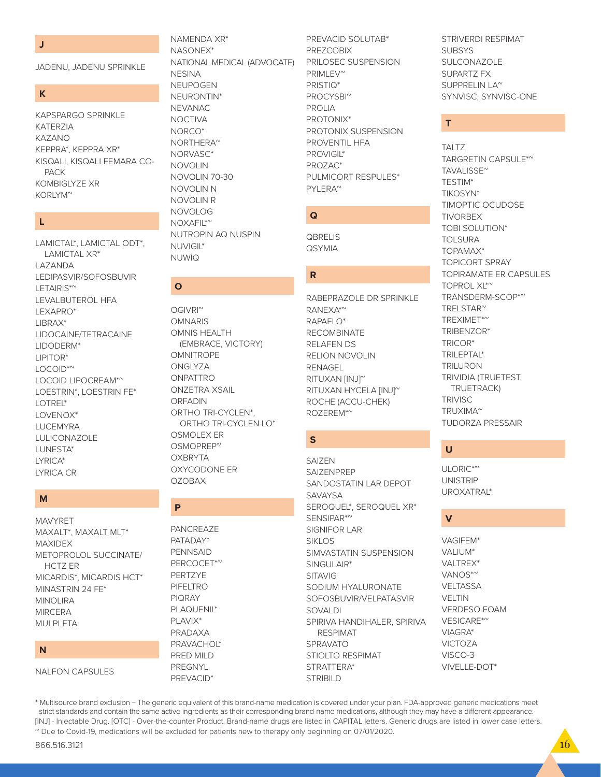### **J**

JADENU, JADENU SPRINKLE

### **K**

KAPSPARGO SPRINKLE KATERZIA KAZANO KEPPRA\*, KEPPRA XR\* KISQALI, KISQALI FEMARA CO- **PACK** KOMBIGLYZE XR KORLYM~

# **L**

LAMICTAL\*, LAMICTAL ODT\*, LAMICTAL XR\* LAZANDA LEDIPASVIR/SOFOSBUVIR LETAIRIS\*~ LEVALBUTEROL HFA LEXAPRO\* LIBRAX\* LIDOCAINE/TETRACAINE LIDODERM\* LIPITOR\* LOCOID\*~ LOCOID LIPOCREAM\*<sup>~</sup> LOESTRIN\*, LOESTRIN FE\* LOTREL\* LOVENOX\* LUCEMYRA LULICONAZOLE LUNESTA\* LYRICA\* LYRICA CR

# **M**

MAVYRET MAXALT\*, MAXALT MLT\* MAXIDEX METOPROLOL SUCCINATE/ HCTZ ER MICARDIS\*, MICARDIS HCT\* MINASTRIN 24 FE\* MINOLIRA **MIRCERA** MULPLETA

# **N**

NALFON CAPSULES

NAMENDA XR\* NASONEX\* NATIONAL MEDICAL (ADVOCATE) **NESINA** NEUPOGEN NEURONTIN\* NEVANAC **NOCTIVA** NORCO\* NORTHERA~ NORVASC\* NOVOLIN NOVOLIN 70-30 NOVOLIN N NOVOLIN R NOVOLOG NOXAFIL\*~ NUTROPIN AQ NUSPIN

NUVIGIL\* NUWIQ

**O**

OGIVRI~ **OMNARIS** OMNIS HEALTH

**OMNITROPE ONGLYZA** ONPATTRO ONZETRA XSAIL ORFADIN

OSMOLEX ER OSMOPREP~ **OXBRYTA** OXYCODONE ER

OZOBAX

PANCREAZE PATADAY\* PENNSAID PERCOCET\*<sup>~</sup> PERTZYE PIFELTRO PIQRAY PLAQUENIL\* PLAVIX\* PRADAXA PRAVACHOL\* PRED MILD PREGNYL PREVACID\*

**P**

(EMBRACE, VICTORY)

ORTHO TRI-CYCLEN\*, ORTHO TRI-CYCLEN LO\*

# PREVACID SOLUTAB\* PREZCOBIX PRILOSEC SUSPENSION PRIMLEV<sup>^</sup> PRISTIQ\* PROCYSBI~ PROLIA PROTONIX\* PROTONIX SUSPENSION PROVENTIL HFA PROVIGIL\* PROZAC\* PULMICORT RESPULES\*

PYLERA~

**QBRELIS QSYMIA** 

**Q**

**R**

STRIVERDI RESPIMAT **SUBSYS** SULCONAZOLE SUPARTZ FX SUPPRELIN LA~ SYNVISC, SYNVISC-ONE

TARGRETIN CAPSULE\*~

TIMOPTIC OCUDOSE

TOPIRAMATE ER CAPSULES

TRANSDERM-SCOP\*~

TRIVIDIA (TRUETEST, TRUETRACK)

TUDORZA PRESSAIR

**T**

TAI T7

TAVALISSE~ TESTIM\* TIKOSYN\*

TIVORBEX TOBI SOLUTION\* TOLSURA TOPAMAX\* TOPICORT SPRAY

TOPROL XL\*~

TRELSTAR~ TREXIMET\*~ TRIBENZOR\* TRICOR\* TRILEPTAL\* TRILURON

**TRIVISC** TRUXIMA~

# **V**

**U**

ULORIC\*<sup>~</sup> **UNISTRIP** UROXATRAL\*

VAGIFEM\* VALIUM\* VAI TRFX\* VANOS\*~ **VELTASSA** VELTIN VERDESO FOAM VESICARE\*~ VIAGRA\* VICTOZA VISCO-3 VIVELLE-DOT\*

\* Multisource brand exclusion − The generic equivalent of this brand-name medication is covered under your plan. FDA-approved generic medications meet strict standards and contain the same active ingredients as their corresponding brand-name medications, although they may have a different appearance. [INJ] - Injectable Drug. [OTC] - Over-the-counter Product. Brand-name drugs are listed in CAPITAL letters. Generic drugs are listed in lower case letters. ~ Due to Covid-19, medications will be excluded for patients new to therapy only beginning on 07/01/2020.

# RANEXA\*~ **S**

RABEPRAZOLE DR SPRINKLE

RAPAFLO\* RECOMBINATE RELAFEN DS RELION NOVOLIN RENAGEL RITUXAN [INJ]~ RITUXAN HYCELA [INJ]~ ROCHE (ACCU-CHEK) ROZEREM\*~

SAIZEN **SAIZENPREP** SANDOSTATIN LAR DEPOT **SAVAYSA** SEROQUEL\*, SEROQUEL XR\* SENSIPAR\*~ SIGNIFOR LAR SIKI<sub>OS</sub> SIMVASTATIN SUSPENSION SINGULAIR\* **SITAVIG** SODIUM HYALURONATE SOFOSBUVIR/VELPATASVIR SOVALDI SPIRIVA HANDIHALER, SPIRIVA RESPIMAT SPRAVATO STIOLTO RESPIMAT STRATTERA\* STRIBILD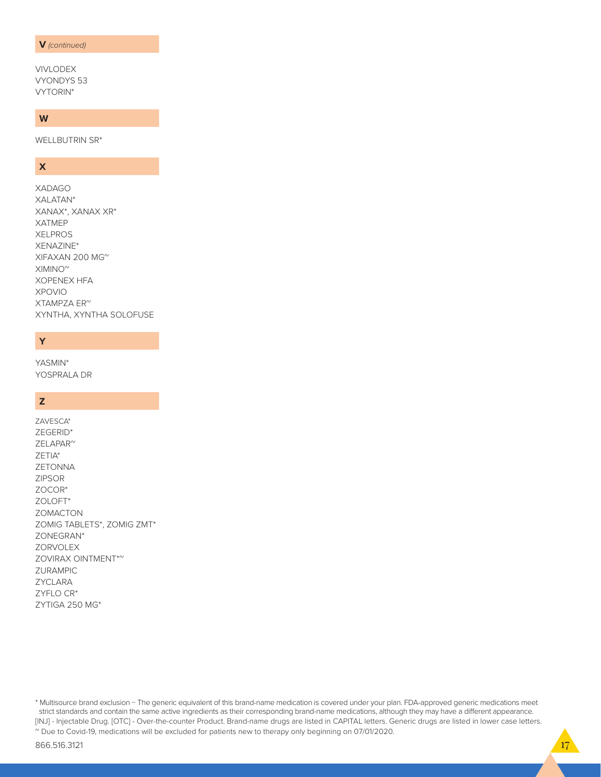### **V** *(continued)*

VIVLODEX VYONDYS 53 VYTORIN\*

# **W**

WELLBUTRIN SR\*

# **X**

XADAGO XALATAN\* XANAX\*, XANAX XR\* XATMEP XELPROS XENAZINE\* XIFAXAN 200 MG~  $XIMINO^{\sim}$ XOPENEX HFA XPOVIO XTAMPZA ER~ XYNTHA, XYNTHA SOLOFUSE

# **Y**

YASMIN\* YOSPRALA DR

# **Z**

ZAVESCA\* ZEGERID\* ZELAPAR~ ZETIA\* ZETONNA ZIPSOR ZOCOR\* ZOLOFT\* ZOMACTON ZOMIG TABLETS\*, ZOMIG ZMT\* ZONEGRAN\* **ZORVOLEX** ZOVIRAX OINTMENT\*~ ZURAMPIC ZYCLARA ZYFLO CR\* ZYTIGA 250 MG\*

\* Multisource brand exclusion − The generic equivalent of this brand-name medication is covered under your plan. FDA-approved generic medications meet strict standards and contain the same active ingredients as their corresponding brand-name medications, although they may have a different appearance. [INJ] - Injectable Drug. [OTC] - Over-the-counter Product. Brand-name drugs are listed in CAPITAL letters. Generic drugs are listed in lower case letters. ~ Due to Covid-19, medications will be excluded for patients new to therapy only beginning on 07/01/2020.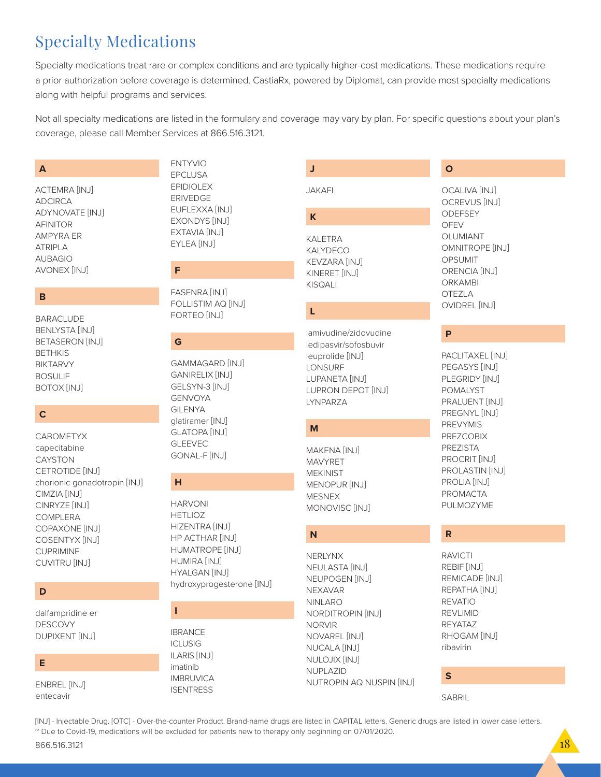# **Specialty Medications**

Specialty medications treat rare or complex conditions and are typically higher-cost medications. These medications require a prior authorization before coverage is determined. CastiaRx, powered by Diplomat, can provide most specialty medications along with helpful programs and services.

Not all specialty medications are listed in the formulary and coverage may vary by plan. For specific questions about your plan's coverage, please call Member Services at 866.516.3121.

J

# $\overline{A}$

ACTEMRA [INJ] **ADCIRCA** ADYNOVATE [INJ] **AFINITOR AMPYRA ER ATRIPLA AUBAGIO** AVONEX [INJ]

# B

**BARACLUDE BENLYSTA [INJ] BETASERON [INJ] BETHKIS BIKTARVY BOSULIF** BOTOX [INJ]

# $\mathbf c$

CAROMETYX capecitabine CAYSTON CETROTIDE [INJ] chorionic gonadotropin [INJ] CIMZIA [INJ] CINRYZE [INJ] COMPLERA COPAXONE [INJ] COSENTYX [INJ] **CUPRIMINE** CUVITRU [INJ]

# D

dalfampridine er **DESCOVY** DUPIXENT [INJ]

# E

**ENBREL [INJ]** entecavir

# **ENTYVIO EPCLUSA EPIDIOLEX ERIVEDGE** EUFLEXXA [INJ] EXONDYS [INJ] EXTAVIA [INJ] EYLEA [INJ]

# F

**FASENRA [INJ]** FOLLISTIM AQ [INJ] FORTEO [INJ]

# G

**GAMMAGARD [INJ] GANIRELIX [INJ]** GELSYN-3 [IN.J] **GENVOYA GILENYA** glatiramer [INJ] **GLATOPA [INJ] GLEEVEC** GONAL-F [INJ]

# н

**HARVONI HETLIOZ** HIZENTRA [INJ] HP ACTHAR [INJ] HUMATROPE [INJ] HUMIRA [INJ] **HYALGAN [INJ]** hydroxyprogesterone [INJ]

T

**IBRANCE ICLUSIG ILARIS [INJ]** imatinib **IMBRUVICA ISENTRESS** 

# **JAKAFI**

# K **KALETRA** KALYDECO **KEVZARA [INJ]**

KINERET [INJ] **KISQALI** 

# L

lamivudine/zidovudine ledipasvir/sofosbuvir leuprolide [INJ] LONSURF LUPANETA [INJ] LUPRON DEPOT [INJ] **LYNPARZA** 

# M

**MAKENA [INJ]** MAV/YRFT **MEKINIST MENOPUR [INJ] MESNEX** MONOVISC<sup>[INJ]</sup>

# N

**NERLYNX** NEULASTA [INJ] NEUPOGEN [INJ] **NEXAVAR NINLARO** NORDITROPIN [INJ] **NORVIR** NOVAREL [INJ] **NUCALA [INJ]** NULOJIX [INJ] NUPLAZID NUTROPIN AQ NUSPIN [INJ]

# $\overline{O}$

**OCALIVA [INJ] OCREVUS [INJ]** ODEFSEY **OFEV** OLUMIANT OMNITROPE [INJ] OPSUMIT ORENCIA [INJ] **ORKAMBI OTEZLA OVIDREL [INJ]** 

# $\mathsf{P}$

PACLITAXEL [INJ] PEGASYS [INJ] PLEGRIDY [INJ] **POMALYST** PRALUENT [INJ] PREGNYL [INJ] **PREVYMIS PREZCOBIX** PREZISTA PROCRIT [INJ] PROLASTIN [INJ] PROLIA [INJ] **PROMACTA** PULMOZYME

# $\overline{\mathsf{R}}$

**RAVICTI** REBIF [INJ] REMICADE [INJ] REPATHA [INJ] **REVATIO REVLIMID REYATAZ** RHOGAM [INJ] ribavirin

# $\mathbf S$

**SABRIL** 

[INJ] - Injectable Drug. [OTC] - Over-the-counter Product. Brand-name drugs are listed in CAPITAL letters. Generic drugs are listed in lower case letters. ~ Due to Covid-19, medications will be excluded for patients new to therapy only beginning on 07/01/2020.

866.516.3121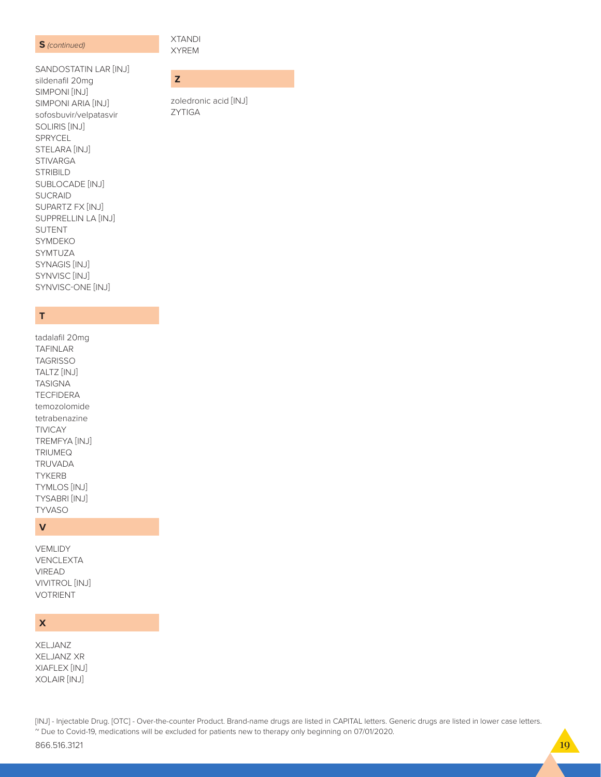### **S** (continued)

**XTANDI XYREM** 

ZYTIGA

zoledronic acid [INJ]

 $\mathbf{z}$ 

SANDOSTATIN LAR [INJ] sildenafil 20mg SIMPONI [INJ] SIMPONI ARIA [INJ] sofosbuvir/velpatasvir SOLIRIS [INJ] SPRYCEL STELARA [INJ] **STIVARGA STRIBILD** SUBLOCADE [INJ] SUCRAID SUPARTZ FX [INJ] SUPPRELLIN LA [INJ] **SUTENT SYMDEKO** SYMTUZA SYNAGIS [INJ] SYNVISC<sup>[INJ]</sup> SYNVISC-ONE [INJ]

# $\mathsf T$

tadalafil 20mg **TAFINLAR TAGRISSO** TALTZ [INJ] **TASIGNA TECFIDERA** temozolomide tetrabenazine **TIVICAY** TREMFYA [INJ] TRIUMEQ **TRUVADA TYKERB TYMLOS [INJ] TYSABRI [INJ] TYVASO** 

# $\mathsf{V}$

VEMLIDY VENCLEXTA **VIREAD** VIVITROL [INJ] **VOTRIENT** 

# $\boldsymbol{\mathsf{x}}$

XELJANZ **XELJANZ XR** XIAFLEX [INJ] XOLAIR [INJ]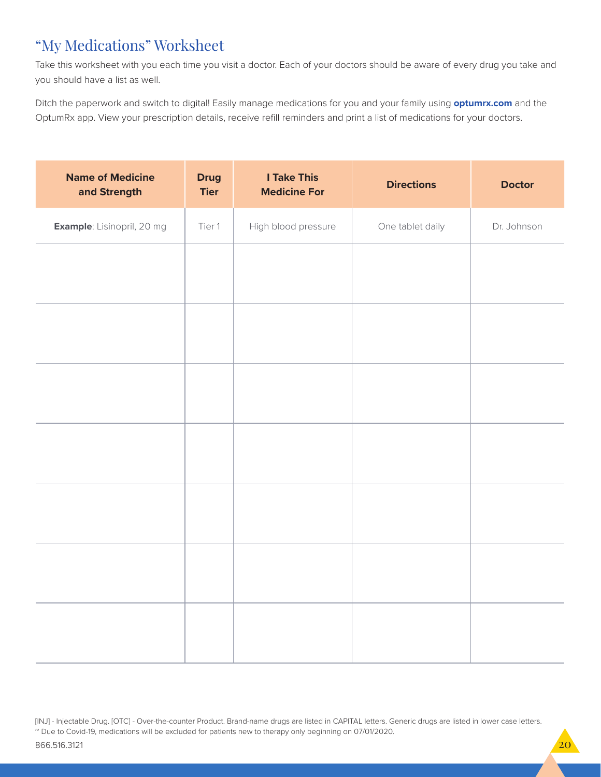# "My Medications" Worksheet

Take this worksheet with you each time you visit a doctor. Each of your doctors should be aware of every drug you take and you should have a list as well.

Ditch the paperwork and switch to digital! Easily manage medications for you and your family using **optumrx.com** and the OptumRx app. View your prescription details, receive refill reminders and print a list of medications for your doctors.

| <b>Name of Medicine</b><br>and Strength | <b>Drug</b><br><b>Tier</b> | <b>I Take This</b><br><b>Medicine For</b> | <b>Directions</b> | <b>Doctor</b> |
|-----------------------------------------|----------------------------|-------------------------------------------|-------------------|---------------|
| Example: Lisinopril, 20 mg              | Tier 1                     | High blood pressure                       | One tablet daily  | Dr. Johnson   |
|                                         |                            |                                           |                   |               |
|                                         |                            |                                           |                   |               |
|                                         |                            |                                           |                   |               |
|                                         |                            |                                           |                   |               |
|                                         |                            |                                           |                   |               |
|                                         |                            |                                           |                   |               |
|                                         |                            |                                           |                   |               |
|                                         |                            |                                           |                   |               |
|                                         |                            |                                           |                   |               |
|                                         |                            |                                           |                   |               |
|                                         |                            |                                           |                   |               |
|                                         |                            |                                           |                   |               |